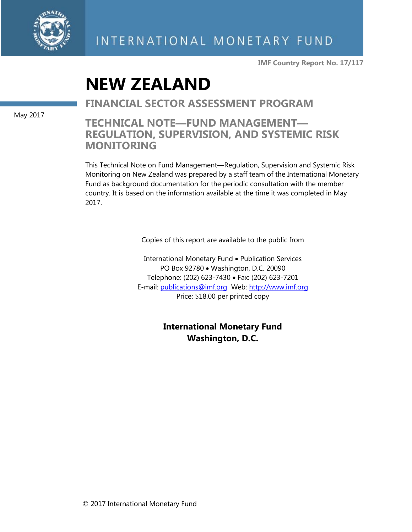

**IMF Country Report No. 17/117**

# **NEW ZEALAND**

**FINANCIAL SECTOR ASSESSMENT PROGRAM**

**TECHNICAL NOTE—FUND MANAGEMENT— REGULATION, SUPERVISION, AND SYSTEMIC RISK MONITORING**

This Technical Note on Fund Management—Regulation, Supervision and Systemic Risk Monitoring on New Zealand was prepared by a staff team of the International Monetary Fund as background documentation for the periodic consultation with the member country. It is based on the information available at the time it was completed in May 2017.

Copies of this report are available to the public from

International Monetary Fund • Publication Services PO Box 92780 • Washington, D.C. 20090 Telephone: (202) 623-7430 Fax: (202) 623-7201 E-mail: [publications@imf.org](mailto:publications@imf.org) Web: [http://www.imf.org](http://0-www-imf-org.library.svsu.edu/) Price: \$18.00 per printed copy

> **International Monetary Fund Washington, D.C.**

May 2017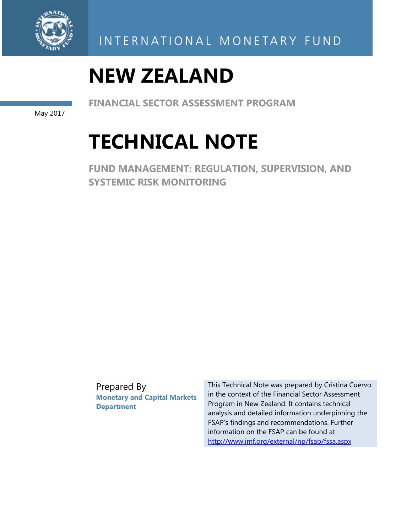

# **NEW ZEALAND**

**FINANCIAL SECTOR ASSESSMENT PROGRAM** 

May 2017

# **TECHNICAL NOTE**

**FUND MANAGEMENT: REGULATION, SUPERVISION, AND SYSTEMIC RISK MONITORING** 

Prepared By **Monetary and Capital Markets Department** 

This Technical Note was prepared by Cristina Cuervo in the context of the Financial Sector Assessment Program in New Zealand. It contains technical analysis and detailed information underpinning the FSAP's findings and recommendations. Further information on the FSAP can be found at http://www.imf.org/external/np/fsap/fssa.aspx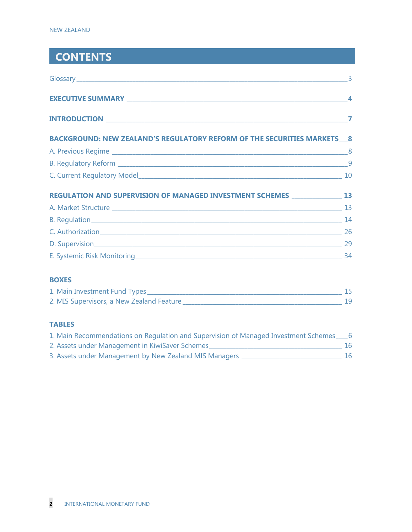# **CONTENTS**

| $\sim$ 3                                                                |                  |
|-------------------------------------------------------------------------|------------------|
|                                                                         | $\boldsymbol{4}$ |
|                                                                         | 7                |
| BACKGROUND: NEW ZEALAND'S REGULATORY REFORM OF THE SECURITIES MARKETS 8 |                  |
|                                                                         |                  |
|                                                                         |                  |
|                                                                         |                  |
| REGULATION AND SUPERVISION OF MANAGED INVESTMENT SCHEMES 13 13          |                  |
|                                                                         |                  |
|                                                                         |                  |
|                                                                         |                  |
|                                                                         |                  |
|                                                                         | 34               |

## **BOXES**

| 1. Main Investment Fund Types             |  |
|-------------------------------------------|--|
| 2. MIS Supervisors, a New Zealand Feature |  |

# **TABLES**

| 1. Main Recommendations on Regulation and Supervision of Managed Investment Schemes |    |
|-------------------------------------------------------------------------------------|----|
| 2. Assets under Management in KiwiSaver Schemes                                     | 16 |
| 3. Assets under Management by New Zealand MIS Managers                              | 16 |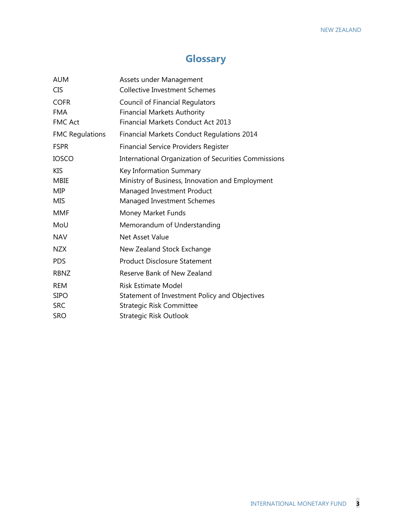# **Glossary**

| <b>AUM</b>             | Assets under Management                              |
|------------------------|------------------------------------------------------|
| <b>CIS</b>             | <b>Collective Investment Schemes</b>                 |
| <b>COFR</b>            | <b>Council of Financial Regulators</b>               |
| <b>FMA</b>             | <b>Financial Markets Authority</b>                   |
| <b>FMC Act</b>         | <b>Financial Markets Conduct Act 2013</b>            |
| <b>FMC Regulations</b> | <b>Financial Markets Conduct Regulations 2014</b>    |
| <b>FSPR</b>            | <b>Financial Service Providers Register</b>          |
| <b>IOSCO</b>           | International Organization of Securities Commissions |
| <b>KIS</b>             | Key Information Summary                              |
| MBIE                   | Ministry of Business, Innovation and Employment      |
| MIP                    | Managed Investment Product                           |
| MIS                    | Managed Investment Schemes                           |
| <b>MMF</b>             | Money Market Funds                                   |
| MoU                    | Memorandum of Understanding                          |
| <b>NAV</b>             | Net Asset Value                                      |
| <b>NZX</b>             | New Zealand Stock Exchange                           |
| <b>PDS</b>             | <b>Product Disclosure Statement</b>                  |
| <b>RBNZ</b>            | Reserve Bank of New Zealand                          |
| <b>REM</b>             | <b>Risk Estimate Model</b>                           |
| <b>SIPO</b>            | Statement of Investment Policy and Objectives        |
| <b>SRC</b>             | <b>Strategic Risk Committee</b>                      |
| <b>SRO</b>             | Strategic Risk Outlook                               |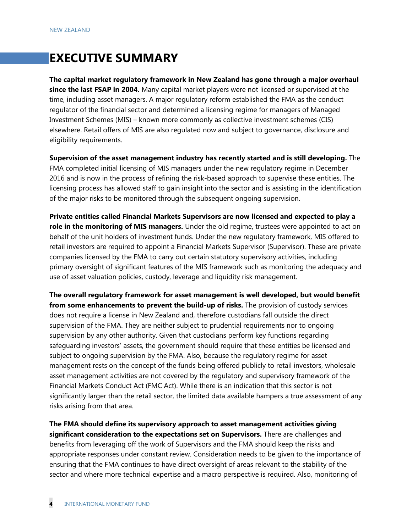# **EXECUTIVE SUMMARY**

**The capital market regulatory framework in New Zealand has gone through a major overhaul since the last FSAP in 2004.** Many capital market players were not licensed or supervised at the time, including asset managers. A major regulatory reform established the FMA as the conduct regulator of the financial sector and determined a licensing regime for managers of Managed Investment Schemes (MIS) – known more commonly as collective investment schemes (CIS) elsewhere. Retail offers of MIS are also regulated now and subject to governance, disclosure and eligibility requirements.

**Supervision of the asset management industry has recently started and is still developing.** The FMA completed initial licensing of MIS managers under the new regulatory regime in December 2016 and is now in the process of refining the risk-based approach to supervise these entities. The licensing process has allowed staff to gain insight into the sector and is assisting in the identification of the major risks to be monitored through the subsequent ongoing supervision.

**Private entities called Financial Markets Supervisors are now licensed and expected to play a role in the monitoring of MIS managers.** Under the old regime, trustees were appointed to act on behalf of the unit holders of investment funds. Under the new regulatory framework, MIS offered to retail investors are required to appoint a Financial Markets Supervisor (Supervisor). These are private companies licensed by the FMA to carry out certain statutory supervisory activities, including primary oversight of significant features of the MIS framework such as monitoring the adequacy and use of asset valuation policies, custody, leverage and liquidity risk management.

**The overall regulatory framework for asset management is well developed, but would benefit from some enhancements to prevent the build-up of risks.** The provision of custody services does not require a license in New Zealand and, therefore custodians fall outside the direct supervision of the FMA. They are neither subject to prudential requirements nor to ongoing supervision by any other authority. Given that custodians perform key functions regarding safeguarding investors' assets, the government should require that these entities be licensed and subject to ongoing supervision by the FMA. Also, because the regulatory regime for asset management rests on the concept of the funds being offered publicly to retail investors, wholesale asset management activities are not covered by the regulatory and supervisory framework of the Financial Markets Conduct Act (FMC Act). While there is an indication that this sector is not significantly larger than the retail sector, the limited data available hampers a true assessment of any risks arising from that area.

**The FMA should define its supervisory approach to asset management activities giving significant consideration to the expectations set on Supervisors.** There are challenges and benefits from leveraging off the work of Supervisors and the FMA should keep the risks and appropriate responses under constant review. Consideration needs to be given to the importance of ensuring that the FMA continues to have direct oversight of areas relevant to the stability of the sector and where more technical expertise and a macro perspective is required. Also, monitoring of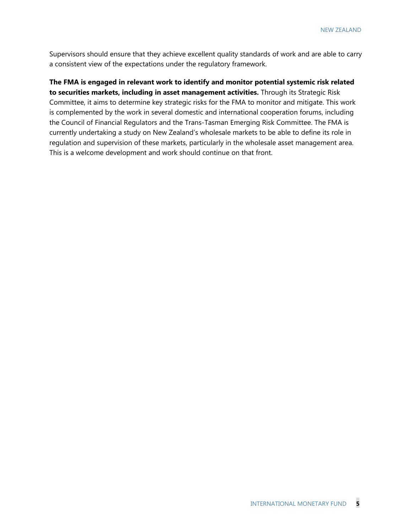Supervisors should ensure that they achieve excellent quality standards of work and are able to carry a consistent view of the expectations under the regulatory framework.

**The FMA is engaged in relevant work to identify and monitor potential systemic risk related to securities markets, including in asset management activities.** Through its Strategic Risk Committee, it aims to determine key strategic risks for the FMA to monitor and mitigate. This work is complemented by the work in several domestic and international cooperation forums, including the Council of Financial Regulators and the Trans-Tasman Emerging Risk Committee. The FMA is currently undertaking a study on New Zealand's wholesale markets to be able to define its role in regulation and supervision of these markets, particularly in the wholesale asset management area. This is a welcome development and work should continue on that front.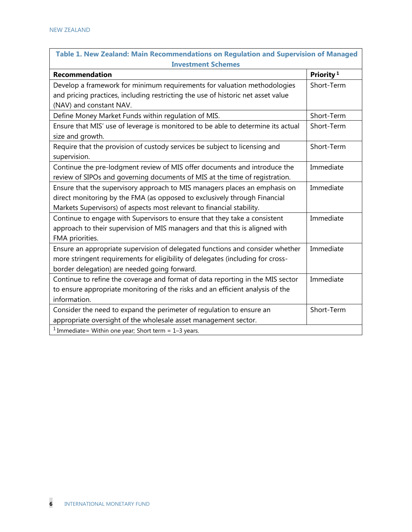| Table 1. New Zealand: Main Recommendations on Regulation and Supervision of Managed |                       |
|-------------------------------------------------------------------------------------|-----------------------|
| <b>Investment Schemes</b>                                                           |                       |
| <b>Recommendation</b>                                                               | Priority <sup>1</sup> |
| Develop a framework for minimum requirements for valuation methodologies            | Short-Term            |
| and pricing practices, including restricting the use of historic net asset value    |                       |
| (NAV) and constant NAV.                                                             |                       |
| Define Money Market Funds within regulation of MIS.                                 | Short-Term            |
| Ensure that MIS' use of leverage is monitored to be able to determine its actual    | Short-Term            |
| size and growth.                                                                    |                       |
| Require that the provision of custody services be subject to licensing and          | Short-Term            |
| supervision.                                                                        |                       |
| Continue the pre-lodgment review of MIS offer documents and introduce the           | Immediate             |
| review of SIPOs and governing documents of MIS at the time of registration.         |                       |
| Ensure that the supervisory approach to MIS managers places an emphasis on          | Immediate             |
| direct monitoring by the FMA (as opposed to exclusively through Financial           |                       |
| Markets Supervisors) of aspects most relevant to financial stability.               |                       |
| Continue to engage with Supervisors to ensure that they take a consistent           | Immediate             |
| approach to their supervision of MIS managers and that this is aligned with         |                       |
| FMA priorities.                                                                     |                       |
| Ensure an appropriate supervision of delegated functions and consider whether       | Immediate             |
| more stringent requirements for eligibility of delegates (including for cross-      |                       |
| border delegation) are needed going forward.                                        |                       |
| Continue to refine the coverage and format of data reporting in the MIS sector      | Immediate             |
| to ensure appropriate monitoring of the risks and an efficient analysis of the      |                       |
| information.                                                                        |                       |
| Consider the need to expand the perimeter of regulation to ensure an                | Short-Term            |
| appropriate oversight of the wholesale asset management sector.                     |                       |
| <sup>1</sup> Immediate = Within one year; Short term = $1-3$ years.                 |                       |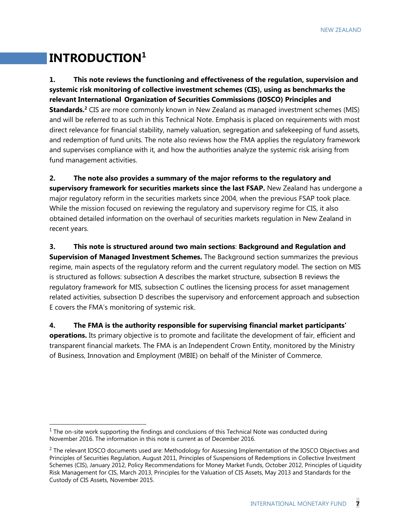# **INTRODUCTION1**

-

**1. This note reviews the functioning and effectiveness of the regulation, supervision and systemic risk monitoring of collective investment schemes (CIS), using as benchmarks the relevant International Organization of Securities Commissions (IOSCO) Principles and Standards.2** CIS are more commonly known in New Zealand as managed investment schemes (MIS) and will be referred to as such in this Technical Note. Emphasis is placed on requirements with most direct relevance for financial stability, namely valuation, segregation and safekeeping of fund assets, and redemption of fund units. The note also reviews how the FMA applies the regulatory framework and supervises compliance with it, and how the authorities analyze the systemic risk arising from fund management activities.

**2. The note also provides a summary of the major reforms to the regulatory and supervisory framework for securities markets since the last FSAP.** New Zealand has undergone a major regulatory reform in the securities markets since 2004, when the previous FSAP took place. While the mission focused on reviewing the regulatory and supervisory regime for CIS, it also obtained detailed information on the overhaul of securities markets regulation in New Zealand in recent years.

#### **3. This note is structured around two main sections**: **Background and Regulation and**

**Supervision of Managed Investment Schemes.** The Background section summarizes the previous regime, main aspects of the regulatory reform and the current regulatory model. The section on MIS is structured as follows: subsection A describes the market structure, subsection B reviews the regulatory framework for MIS, subsection C outlines the licensing process for asset management related activities, subsection D describes the supervisory and enforcement approach and subsection E covers the FMA's monitoring of systemic risk.

**4. The FMA is the authority responsible for supervising financial market participants' operations.** Its primary objective is to promote and facilitate the development of fair, efficient and transparent financial markets. The FMA is an Independent Crown Entity, monitored by the Ministry of Business, Innovation and Employment (MBIE) on behalf of the Minister of Commerce.

 $<sup>1</sup>$  The on-site work supporting the findings and conclusions of this Technical Note was conducted during</sup> November 2016. The information in this note is current as of December 2016.

 $<sup>2</sup>$  The relevant IOSCO documents used are: Methodology for Assessing Implementation of the IOSCO Objectives and</sup> Principles of Securities Regulation, August 2011, Principles of Suspensions of Redemptions in Collective Investment Schemes (CIS), January 2012, Policy Recommendations for Money Market Funds, October 2012, Principles of Liquidity Risk Management for CIS, March 2013, Principles for the Valuation of CIS Assets, May 2013 and Standards for the Custody of CIS Assets, November 2015.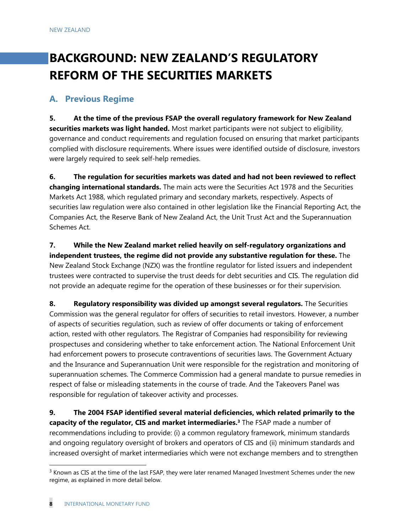# **BACKGROUND: NEW ZEALAND'S REGULATORY REFORM OF THE SECURITIES MARKETS**

# **A. Previous Regime**

**5. At the time of the previous FSAP the overall regulatory framework for New Zealand securities markets was light handed.** Most market participants were not subject to eligibility, governance and conduct requirements and regulation focused on ensuring that market participants complied with disclosure requirements. Where issues were identified outside of disclosure, investors were largely required to seek self-help remedies.

**6. The regulation for securities markets was dated and had not been reviewed to reflect changing international standards.** The main acts were the Securities Act 1978 and the Securities Markets Act 1988, which regulated primary and secondary markets, respectively. Aspects of securities law regulation were also contained in other legislation like the Financial Reporting Act, the Companies Act, the Reserve Bank of New Zealand Act, the Unit Trust Act and the Superannuation Schemes Act.

**7. While the New Zealand market relied heavily on self-regulatory organizations and independent trustees, the regime did not provide any substantive regulation for these.** The New Zealand Stock Exchange (NZX) was the frontline regulator for listed issuers and independent trustees were contracted to supervise the trust deeds for debt securities and CIS. The regulation did not provide an adequate regime for the operation of these businesses or for their supervision.

**8. Regulatory responsibility was divided up amongst several regulators.** The Securities Commission was the general regulator for offers of securities to retail investors. However, a number of aspects of securities regulation, such as review of offer documents or taking of enforcement action, rested with other regulators. The Registrar of Companies had responsibility for reviewing prospectuses and considering whether to take enforcement action. The National Enforcement Unit had enforcement powers to prosecute contraventions of securities laws. The Government Actuary and the Insurance and Superannuation Unit were responsible for the registration and monitoring of superannuation schemes. The Commerce Commission had a general mandate to pursue remedies in respect of false or misleading statements in the course of trade. And the Takeovers Panel was responsible for regulation of takeover activity and processes.

**9. The 2004 FSAP identified several material deficiencies, which related primarily to the capacity of the regulator, CIS and market intermediaries.3** The FSAP made a number of recommendations including to provide: (i) a common regulatory framework, minimum standards and ongoing regulatory oversight of brokers and operators of CIS and (ii) minimum standards and increased oversight of market intermediaries which were not exchange members and to strengthen

 $3$  Known as CIS at the time of the last FSAP, they were later renamed Managed Investment Schemes under the new regime, as explained in more detail below.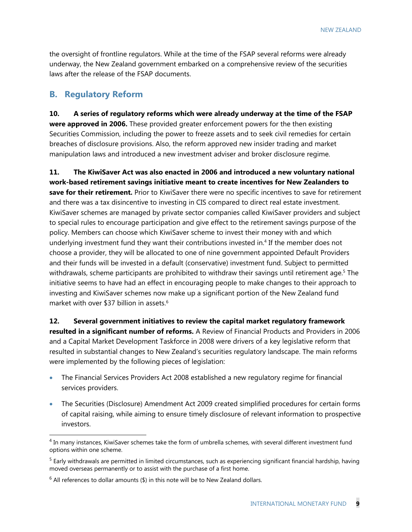the oversight of frontline regulators. While at the time of the FSAP several reforms were already underway, the New Zealand government embarked on a comprehensive review of the securities laws after the release of the FSAP documents.

# **B. Regulatory Reform**

-

**10. A series of regulatory reforms which were already underway at the time of the FSAP were approved in 2006.** These provided greater enforcement powers for the then existing Securities Commission, including the power to freeze assets and to seek civil remedies for certain breaches of disclosure provisions. Also, the reform approved new insider trading and market manipulation laws and introduced a new investment adviser and broker disclosure regime.

**11. The KiwiSaver Act was also enacted in 2006 and introduced a new voluntary national work-based retirement savings initiative meant to create incentives for New Zealanders to save for their retirement.** Prior to KiwiSaver there were no specific incentives to save for retirement and there was a tax disincentive to investing in CIS compared to direct real estate investment. KiwiSaver schemes are managed by private sector companies called KiwiSaver providers and subject to special rules to encourage participation and give effect to the retirement savings purpose of the policy. Members can choose which KiwiSaver scheme to invest their money with and which underlying investment fund they want their contributions invested in.4 If the member does not choose a provider, they will be allocated to one of nine government appointed Default Providers and their funds will be invested in a default (conservative) investment fund. Subject to permitted withdrawals, scheme participants are prohibited to withdraw their savings until retirement age.<sup>5</sup> The initiative seems to have had an effect in encouraging people to make changes to their approach to investing and KiwiSaver schemes now make up a significant portion of the New Zealand fund market with over \$37 billion in assets.<sup>6</sup>

**12. Several government initiatives to review the capital market regulatory framework resulted in a significant number of reforms.** A Review of Financial Products and Providers in 2006 and a Capital Market Development Taskforce in 2008 were drivers of a key legislative reform that resulted in substantial changes to New Zealand's securities regulatory landscape. The main reforms were implemented by the following pieces of legislation:

- The Financial Services Providers Act 2008 established a new regulatory regime for financial services providers.
- The Securities (Disclosure) Amendment Act 2009 created simplified procedures for certain forms of capital raising, while aiming to ensure timely disclosure of relevant information to prospective investors.

<sup>&</sup>lt;sup>4</sup> In many instances, KiwiSaver schemes take the form of umbrella schemes, with several different investment fund options within one scheme.

 $<sup>5</sup>$  Early withdrawals are permitted in limited circumstances, such as experiencing significant financial hardship, having</sup> moved overseas permanently or to assist with the purchase of a first home.

 $6$  All references to dollar amounts (\$) in this note will be to New Zealand dollars.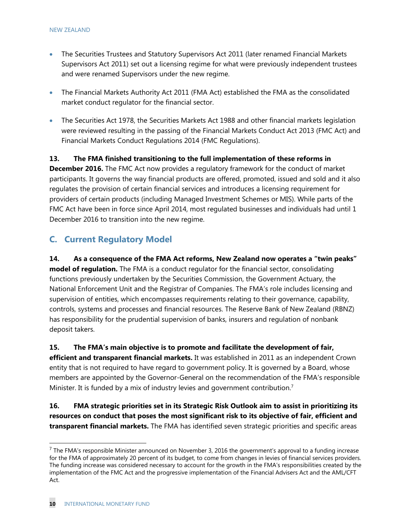- The Securities Trustees and Statutory Supervisors Act 2011 (later renamed Financial Markets Supervisors Act 2011) set out a licensing regime for what were previously independent trustees and were renamed Supervisors under the new regime.
- The Financial Markets Authority Act 2011 (FMA Act) established the FMA as the consolidated market conduct regulator for the financial sector.
- The Securities Act 1978, the Securities Markets Act 1988 and other financial markets legislation were reviewed resulting in the passing of the Financial Markets Conduct Act 2013 (FMC Act) and Financial Markets Conduct Regulations 2014 (FMC Regulations).

**13. The FMA finished transitioning to the full implementation of these reforms in December 2016.** The FMC Act now provides a regulatory framework for the conduct of market participants. It governs the way financial products are offered, promoted, issued and sold and it also regulates the provision of certain financial services and introduces a licensing requirement for providers of certain products (including Managed Investment Schemes or MIS). While parts of the FMC Act have been in force since April 2014, most regulated businesses and individuals had until 1 December 2016 to transition into the new regime.

# **C. Current Regulatory Model**

**14. As a consequence of the FMA Act reforms, New Zealand now operates a "twin peaks" model of regulation.** The FMA is a conduct regulator for the financial sector, consolidating functions previously undertaken by the Securities Commission, the Government Actuary, the National Enforcement Unit and the Registrar of Companies. The FMA's role includes licensing and supervision of entities, which encompasses requirements relating to their governance, capability, controls, systems and processes and financial resources. The Reserve Bank of New Zealand (RBNZ) has responsibility for the prudential supervision of banks, insurers and regulation of nonbank deposit takers.

**15. The FMA's main objective is to promote and facilitate the development of fair, efficient and transparent financial markets.** It was established in 2011 as an independent Crown entity that is not required to have regard to government policy. It is governed by a Board, whose members are appointed by the Governor-General on the recommendation of the FMA's responsible Minister. It is funded by a mix of industry levies and government contribution.<sup>7</sup>

**16. FMA strategic priorities set in its Strategic Risk Outlook aim to assist in prioritizing its resources on conduct that poses the most significant risk to its objective of fair, efficient and transparent financial markets.** The FMA has identified seven strategic priorities and specific areas

 $<sup>7</sup>$  The FMA's responsible Minister announced on November 3, 2016 the government's approval to a funding increase</sup> for the FMA of approximately 20 percent of its budget, to come from changes in levies of financial services providers. The funding increase was considered necessary to account for the growth in the FMA's responsibilities created by the implementation of the FMC Act and the progressive implementation of the Financial Advisers Act and the AML/CFT Act.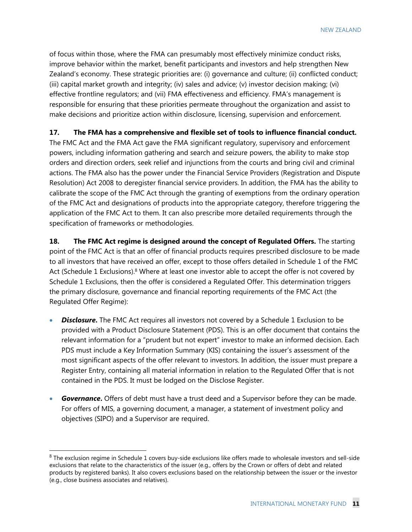of focus within those, where the FMA can presumably most effectively minimize conduct risks, improve behavior within the market, benefit participants and investors and help strengthen New Zealand's economy. These strategic priorities are: (i) governance and culture; (ii) conflicted conduct; (iii) capital market growth and integrity; (iv) sales and advice; (v) investor decision making; (vi) effective frontline regulators; and (vii) FMA effectiveness and efficiency. FMA's management is responsible for ensuring that these priorities permeate throughout the organization and assist to make decisions and prioritize action within disclosure, licensing, supervision and enforcement.

**17. The FMA has a comprehensive and flexible set of tools to influence financial conduct.**

The FMC Act and the FMA Act gave the FMA significant regulatory, supervisory and enforcement powers, including information gathering and search and seizure powers, the ability to make stop orders and direction orders, seek relief and injunctions from the courts and bring civil and criminal actions. The FMA also has the power under the Financial Service Providers (Registration and Dispute Resolution) Act 2008 to deregister financial service providers. In addition, the FMA has the ability to calibrate the scope of the FMC Act through the granting of exemptions from the ordinary operation of the FMC Act and designations of products into the appropriate category, therefore triggering the application of the FMC Act to them. It can also prescribe more detailed requirements through the specification of frameworks or methodologies.

**18. The FMC Act regime is designed around the concept of Regulated Offers.** The starting point of the FMC Act is that an offer of financial products requires prescribed disclosure to be made to all investors that have received an offer, except to those offers detailed in Schedule 1 of the FMC Act (Schedule 1 Exclusions).<sup>8</sup> Where at least one investor able to accept the offer is not covered by Schedule 1 Exclusions, then the offer is considered a Regulated Offer. This determination triggers the primary disclosure, governance and financial reporting requirements of the FMC Act (the Regulated Offer Regime):

- **Disclosure**. The FMC Act requires all investors not covered by a Schedule 1 Exclusion to be provided with a Product Disclosure Statement (PDS). This is an offer document that contains the relevant information for a "prudent but not expert" investor to make an informed decision. Each PDS must include a Key Information Summary (KIS) containing the issuer's assessment of the most significant aspects of the offer relevant to investors. In addition, the issuer must prepare a Register Entry, containing all material information in relation to the Regulated Offer that is not contained in the PDS. It must be lodged on the Disclose Register.
- *Governance***.** Offers of debt must have a trust deed and a Supervisor before they can be made. For offers of MIS, a governing document, a manager, a statement of investment policy and objectives (SIPO) and a Supervisor are required.

<sup>&</sup>lt;sup>8</sup> The exclusion regime in Schedule 1 covers buy-side exclusions like offers made to wholesale investors and sell-side exclusions that relate to the characteristics of the issuer (e.g., offers by the Crown or offers of debt and related products by registered banks). It also covers exclusions based on the relationship between the issuer or the investor (e.g., close business associates and relatives).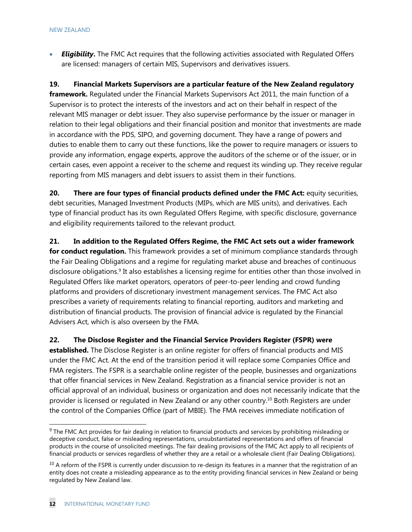*Eligibility***.** The FMC Act requires that the following activities associated with Regulated Offers are licensed: managers of certain MIS, Supervisors and derivatives issuers.

**19. Financial Markets Supervisors are a particular feature of the New Zealand regulatory framework.** Regulated under the Financial Markets Supervisors Act 2011, the main function of a Supervisor is to protect the interests of the investors and act on their behalf in respect of the relevant MIS manager or debt issuer. They also supervise performance by the issuer or manager in relation to their legal obligations and their financial position and monitor that investments are made in accordance with the PDS, SIPO, and governing document. They have a range of powers and duties to enable them to carry out these functions, like the power to require managers or issuers to provide any information, engage experts, approve the auditors of the scheme or of the issuer, or in certain cases, even appoint a receiver to the scheme and request its winding up. They receive regular reporting from MIS managers and debt issuers to assist them in their functions.

**20. There are four types of financial products defined under the FMC Act:** equity securities, debt securities, Managed Investment Products (MIPs, which are MIS units), and derivatives. Each type of financial product has its own Regulated Offers Regime, with specific disclosure, governance and eligibility requirements tailored to the relevant product.

**21. In addition to the Regulated Offers Regime, the FMC Act sets out a wider framework for conduct regulation.** This framework provides a set of minimum compliance standards through the Fair Dealing Obligations and a regime for regulating market abuse and breaches of continuous disclosure obligations.<sup>9</sup> It also establishes a licensing regime for entities other than those involved in Regulated Offers like market operators, operators of peer-to-peer lending and crowd funding platforms and providers of discretionary investment management services. The FMC Act also prescribes a variety of requirements relating to financial reporting, auditors and marketing and distribution of financial products. The provision of financial advice is regulated by the Financial Advisers Act, which is also overseen by the FMA.

**22. The Disclose Register and the Financial Service Providers Register (FSPR) were established.** The Disclose Register is an online register for offers of financial products and MIS under the FMC Act. At the end of the transition period it will replace some Companies Office and FMA registers. The FSPR is a searchable online register of the people, businesses and organizations that offer financial services in New Zealand. Registration as a financial service provider is not an official approval of an individual, business or organization and does not necessarily indicate that the provider is licensed or regulated in New Zealand or any other country.10 Both Registers are under the control of the Companies Office (part of MBIE). The FMA receives immediate notification of

<sup>&</sup>lt;sup>9</sup> The FMC Act provides for fair dealing in relation to financial products and services by prohibiting misleading or deceptive conduct, false or misleading representations, unsubstantiated representations and offers of financial products in the course of unsolicited meetings. The fair dealing provisions of the FMC Act apply to all recipients of financial products or services regardless of whether they are a retail or a wholesale client (Fair Dealing Obligations).

 $10$  A reform of the FSPR is currently under discussion to re-design its features in a manner that the registration of an entity does not create a misleading appearance as to the entity providing financial services in New Zealand or being regulated by New Zealand law.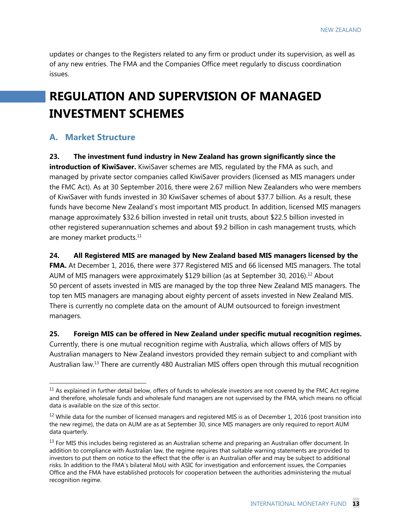updates or changes to the Registers related to any firm or product under its supervision, as well as of any new entries. The FMA and the Companies Office meet regularly to discuss coordination issues.

# **REGULATION AND SUPERVISION OF MANAGED INVESTMENT SCHEMES**

# **A. Market Structure**

-

**23. The investment fund industry in New Zealand has grown significantly since the introduction of KiwiSaver.** KiwiSaver schemes are MIS, regulated by the FMA as such, and managed by private sector companies called KiwiSaver providers (licensed as MIS managers under the FMC Act). As at 30 September 2016, there were 2.67 million New Zealanders who were members of KiwiSaver with funds invested in 30 KiwiSaver schemes of about \$37.7 billion. As a result, these funds have become New Zealand's most important MIS product. In addition, licensed MIS managers manage approximately \$32.6 billion invested in retail unit trusts, about \$22.5 billion invested in other registered superannuation schemes and about \$9.2 billion in cash management trusts, which are money market products.<sup>11</sup>

**24. All Registered MIS are managed by New Zealand based MIS managers licensed by the** 

**FMA.** At December 1, 2016, there were 377 Registered MIS and 66 licensed MIS managers. The total AUM of MIS managers were approximately \$129 billion (as at September 30, 2016).<sup>12</sup> About 50 percent of assets invested in MIS are managed by the top three New Zealand MIS managers. The top ten MIS managers are managing about eighty percent of assets invested in New Zealand MIS. There is currently no complete data on the amount of AUM outsourced to foreign investment managers.

**25. Foreign MIS can be offered in New Zealand under specific mutual recognition regimes.** Currently, there is one mutual recognition regime with Australia, which allows offers of MIS by Australian managers to New Zealand investors provided they remain subject to and compliant with Australian law.<sup>13</sup> There are currently 480 Australian MIS offers open through this mutual recognition

 $11$  As explained in further detail below, offers of funds to wholesale investors are not covered by the FMC Act regime and therefore, wholesale funds and wholesale fund managers are not supervised by the FMA, which means no official data is available on the size of this sector.

 $12$  While data for the number of licensed managers and registered MIS is as of December 1, 2016 (post transition into the new regime), the data on AUM are as at September 30, since MIS managers are only required to report AUM data quarterly.

 $13$  For MIS this includes being registered as an Australian scheme and preparing an Australian offer document. In addition to compliance with Australian law, the regime requires that suitable warning statements are provided to investors to put them on notice to the effect that the offer is an Australian offer and may be subject to additional risks. In addition to the FMA's bilateral MoU with ASIC for investigation and enforcement issues, the Companies Office and the FMA have established protocols for cooperation between the authorities administering the mutual recognition regime.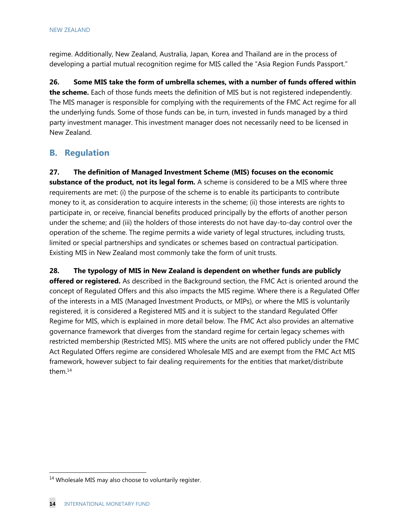regime. Additionally, New Zealand, Australia, Japan, Korea and Thailand are in the process of developing a partial mutual recognition regime for MIS called the "Asia Region Funds Passport."

**26. Some MIS take the form of umbrella schemes, with a number of funds offered within the scheme.** Each of those funds meets the definition of MIS but is not registered independently. The MIS manager is responsible for complying with the requirements of the FMC Act regime for all the underlying funds. Some of those funds can be, in turn, invested in funds managed by a third party investment manager. This investment manager does not necessarily need to be licensed in New Zealand.

# **B. Regulation**

**27. The definition of Managed Investment Scheme (MIS) focuses on the economic substance of the product, not its legal form.** A scheme is considered to be a MIS where three requirements are met: (i) the purpose of the scheme is to enable its participants to contribute money to it, as consideration to acquire interests in the scheme; (ii) those interests are rights to participate in, or receive, financial benefits produced principally by the efforts of another person under the scheme; and (iii) the holders of those interests do not have day-to-day control over the operation of the scheme. The regime permits a wide variety of legal structures, including trusts, limited or special partnerships and syndicates or schemes based on contractual participation. Existing MIS in New Zealand most commonly take the form of unit trusts.

**28. The typology of MIS in New Zealand is dependent on whether funds are publicly offered or registered.** As described in the Background section, the FMC Act is oriented around the concept of Regulated Offers and this also impacts the MIS regime. Where there is a Regulated Offer of the interests in a MIS (Managed Investment Products, or MIPs), or where the MIS is voluntarily registered, it is considered a Registered MIS and it is subject to the standard Regulated Offer Regime for MIS, which is explained in more detail below. The FMC Act also provides an alternative governance framework that diverges from the standard regime for certain legacy schemes with restricted membership (Restricted MIS). MIS where the units are not offered publicly under the FMC Act Regulated Offers regime are considered Wholesale MIS and are exempt from the FMC Act MIS framework, however subject to fair dealing requirements for the entities that market/distribute them.14

<sup>&</sup>lt;sup>14</sup> Wholesale MIS may also choose to voluntarily register.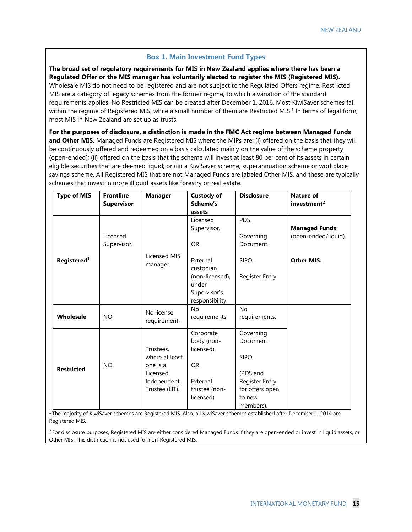## **Box 1. Main Investment Fund Types**

**The broad set of regulatory requirements for MIS in New Zealand applies where there has been a Regulated Offer or the MIS manager has voluntarily elected to register the MIS (Registered MIS).** Wholesale MIS do not need to be registered and are not subject to the Regulated Offers regime. Restricted MIS are a category of legacy schemes from the former regime, to which a variation of the standard requirements applies. No Restricted MIS can be created after December 1, 2016. Most KiwiSaver schemes fall within the regime of Registered MIS, while a small number of them are Restricted MIS.<sup>1</sup> In terms of legal form, most MIS in New Zealand are set up as trusts.

**For the purposes of disclosure, a distinction is made in the FMC Act regime between Managed Funds and Other MIS.** Managed Funds are Registered MIS where the MIPs are: (i) offered on the basis that they will be continuously offered and redeemed on a basis calculated mainly on the value of the scheme property (open-ended); (ii) offered on the basis that the scheme will invest at least 80 per cent of its assets in certain eligible securities that are deemed liquid; or (iii) a KiwiSaver scheme, superannuation scheme or workplace savings scheme. All Registered MIS that are not Managed Funds are labeled Other MIS, and these are typically schemes that invest in more illiquid assets like forestry or real estate.

| <b>Type of MIS</b>      | <b>Frontline</b><br><b>Supervisor</b> | <b>Manager</b>           | <b>Custody of</b><br>Scheme's<br>assets | <b>Disclosure</b> | <b>Nature of</b><br>investment <sup>2</sup> |
|-------------------------|---------------------------------------|--------------------------|-----------------------------------------|-------------------|---------------------------------------------|
|                         |                                       |                          | Licensed                                | PDS.              |                                             |
|                         |                                       |                          | Supervisor.                             |                   | <b>Managed Funds</b>                        |
|                         | Licensed                              |                          |                                         | Governing         | (open-ended/liquid).                        |
|                         | Supervisor.                           |                          | <b>OR</b>                               | Document.         |                                             |
| Registered <sup>1</sup> |                                       | Licensed MIS<br>manager. | External<br>custodian                   | SIPO.             | Other MIS.                                  |
|                         |                                       |                          | (non-licensed),<br>under                | Register Entry.   |                                             |
|                         |                                       |                          | Supervisor's                            |                   |                                             |
|                         |                                       |                          | responsibility.                         |                   |                                             |
|                         |                                       | No license               | <b>No</b>                               | <b>No</b>         |                                             |
| Wholesale               | NO.                                   | requirement.             | requirements.                           | requirements.     |                                             |
|                         |                                       |                          | Corporate                               | Governing         |                                             |
|                         |                                       |                          | body (non-                              | Document.         |                                             |
|                         |                                       | Trustees,                | licensed).                              |                   |                                             |
|                         |                                       | where at least           |                                         | SIPO.             |                                             |
| <b>Restricted</b>       | NO.                                   | one is a                 | <b>OR</b>                               |                   |                                             |
|                         |                                       | Licensed                 |                                         | (PDS and          |                                             |
|                         |                                       | Independent              | External                                | Register Entry    |                                             |
|                         |                                       | Trustee (LIT).           | trustee (non-                           | for offers open   |                                             |
|                         |                                       |                          | licensed).                              | to new            |                                             |
|                         |                                       |                          |                                         | members).         |                                             |

 $1$  The majority of KiwiSaver schemes are Registered MIS. Also, all KiwiSaver schemes established after December 1, 2014 are Registered MIS.

<sup>2</sup> For disclosure purposes, Registered MIS are either considered Managed Funds if they are open-ended or invest in liquid assets, or Other MIS. This distinction is not used for non-Registered MIS.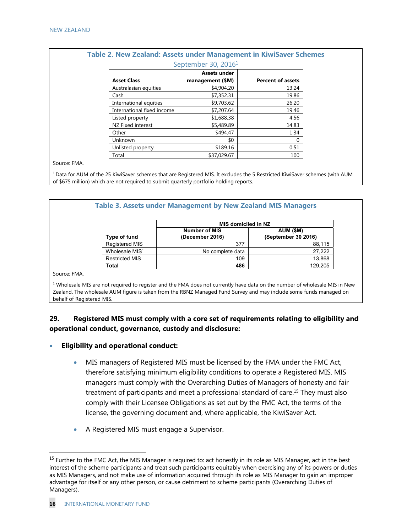| September 30, 2016 <sup>1</sup> |                     |                          |  |
|---------------------------------|---------------------|--------------------------|--|
|                                 | <b>Assets under</b> |                          |  |
| <b>Asset Class</b>              | management (\$M)    | <b>Percent of assets</b> |  |
| Australasian equities           | \$4,904.20          | 13.24                    |  |
| Cash                            | \$7,352.31          | 19.86                    |  |
| International equities          | \$9,703.62          | 26.20                    |  |
| International fixed income      | \$7,207.64          | 19.46                    |  |
| Listed property                 | \$1,688.38          | 4.56                     |  |
| NZ Fixed interest               | \$5,489.89          | 14.83                    |  |
| Other                           | \$494.47            | 1.34                     |  |
| Unknown                         | \$0                 | 0                        |  |
| Unlisted property               | \$189.16            | 0.51                     |  |
| Total                           | \$37,029.67         | 100                      |  |

# **Table 2. New Zealand: Assets under Management in KiwiSaver Schemes**

Source: FMA.

<sup>1</sup> Data for AUM of the 25 KiwiSaver schemes that are Registered MIS. It excludes the 5 Restricted KiwiSaver schemes (with AUM of \$675 million) which are not required to submit quarterly portfolio holding reports.

|                            | MIS domiciled in NZ                     |                                  |  |
|----------------------------|-----------------------------------------|----------------------------------|--|
| Type of fund               | <b>Number of MIS</b><br>(December 2016) | AUM (\$M)<br>(September 30 2016) |  |
| Registered MIS             | 377                                     | 88,115                           |  |
| Wholesale MIS <sup>1</sup> | No complete data                        | 27,222                           |  |
| <b>Restricted MIS</b>      | 109                                     | 13,868                           |  |
| Total                      | 486                                     | 129,205                          |  |

Zealand. The wholesale AUM figure is taken from the RBNZ Managed Fund Survey and may include some funds managed on behalf of Registered MIS.

# **29. Registered MIS must comply with a core set of requirements relating to eligibility and operational conduct, governance, custody and disclosure:**

- **Eligibility and operational conduct:** 
	- MIS managers of Registered MIS must be licensed by the FMA under the FMC Act, therefore satisfying minimum eligibility conditions to operate a Registered MIS. MIS managers must comply with the Overarching Duties of Managers of honesty and fair treatment of participants and meet a professional standard of care.15 They must also comply with their Licensee Obligations as set out by the FMC Act, the terms of the license, the governing document and, where applicable, the KiwiSaver Act.
	- A Registered MIS must engage a Supervisor.

<sup>&</sup>lt;sup>15</sup> Further to the FMC Act, the MIS Manager is required to: act honestly in its role as MIS Manager, act in the best interest of the scheme participants and treat such participants equitably when exercising any of its powers or duties as MIS Managers, and not make use of information acquired through its role as MIS Manager to gain an improper advantage for itself or any other person, or cause detriment to scheme participants (Overarching Duties of Managers).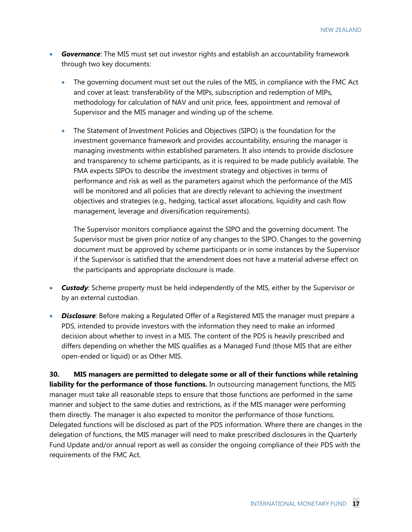NEW ZEALAND

- *Governance*: The MIS must set out investor rights and establish an accountability framework through two key documents:
	- The governing document must set out the rules of the MIS, in compliance with the FMC Act and cover at least: transferability of the MIPs, subscription and redemption of MIPs, methodology for calculation of NAV and unit price, fees, appointment and removal of Supervisor and the MIS manager and winding up of the scheme.
	- The Statement of Investment Policies and Objectives (SIPO) is the foundation for the investment governance framework and provides accountability, ensuring the manager is managing investments within established parameters. It also intends to provide disclosure and transparency to scheme participants, as it is required to be made publicly available. The FMA expects SIPOs to describe the investment strategy and objectives in terms of performance and risk as well as the parameters against which the performance of the MIS will be monitored and all policies that are directly relevant to achieving the investment objectives and strategies (e.g., hedging, tactical asset allocations, liquidity and cash flow management, leverage and diversification requirements).

The Supervisor monitors compliance against the SIPO and the governing document. The Supervisor must be given prior notice of any changes to the SIPO. Changes to the governing document must be approved by scheme participants or in some instances by the Supervisor if the Supervisor is satisfied that the amendment does not have a material adverse effect on the participants and appropriate disclosure is made.

- *Custody*: Scheme property must be held independently of the MIS, either by the Supervisor or by an external custodian.
- **Disclosure**: Before making a Regulated Offer of a Registered MIS the manager must prepare a PDS, intended to provide investors with the information they need to make an informed decision about whether to invest in a MIS. The content of the PDS is heavily prescribed and differs depending on whether the MIS qualifies as a Managed Fund (those MIS that are either open-ended or liquid) or as Other MIS.

**30. MIS managers are permitted to delegate some or all of their functions while retaining liability for the performance of those functions.** In outsourcing management functions, the MIS manager must take all reasonable steps to ensure that those functions are performed in the same manner and subject to the same duties and restrictions, as if the MIS manager were performing them directly. The manager is also expected to monitor the performance of those functions. Delegated functions will be disclosed as part of the PDS information. Where there are changes in the delegation of functions, the MIS manager will need to make prescribed disclosures in the Quarterly Fund Update and/or annual report as well as consider the ongoing compliance of their PDS with the requirements of the FMC Act.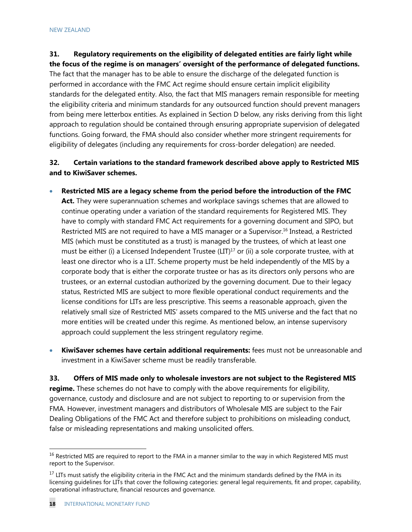# **31. Regulatory requirements on the eligibility of delegated entities are fairly light while**

**the focus of the regime is on managers' oversight of the performance of delegated functions.** The fact that the manager has to be able to ensure the discharge of the delegated function is performed in accordance with the FMC Act regime should ensure certain implicit eligibility standards for the delegated entity. Also, the fact that MIS managers remain responsible for meeting the eligibility criteria and minimum standards for any outsourced function should prevent managers from being mere letterbox entities. As explained in Section D below, any risks deriving from this light approach to regulation should be contained through ensuring appropriate supervision of delegated functions. Going forward, the FMA should also consider whether more stringent requirements for eligibility of delegates (including any requirements for cross-border delegation) are needed.

# **32. Certain variations to the standard framework described above apply to Restricted MIS and to KiwiSaver schemes.**

- **Restricted MIS are a legacy scheme from the period before the introduction of the FMC Act.** They were superannuation schemes and workplace savings schemes that are allowed to continue operating under a variation of the standard requirements for Registered MIS. They have to comply with standard FMC Act requirements for a governing document and SIPO, but Restricted MIS are not required to have a MIS manager or a Supervisor.<sup>16</sup> Instead, a Restricted MIS (which must be constituted as a trust) is managed by the trustees, of which at least one must be either (i) a Licensed Independent Trustee (LIT)<sup>17</sup> or (ii) a sole corporate trustee, with at least one director who is a LIT. Scheme property must be held independently of the MIS by a corporate body that is either the corporate trustee or has as its directors only persons who are trustees, or an external custodian authorized by the governing document. Due to their legacy status, Restricted MIS are subject to more flexible operational conduct requirements and the license conditions for LITs are less prescriptive. This seems a reasonable approach, given the relatively small size of Restricted MIS' assets compared to the MIS universe and the fact that no more entities will be created under this regime. As mentioned below, an intense supervisory approach could supplement the less stringent regulatory regime.
- **KiwiSaver schemes have certain additional requirements:** fees must not be unreasonable and investment in a KiwiSaver scheme must be readily transferable.

**33. Offers of MIS made only to wholesale investors are not subject to the Registered MIS regime.** These schemes do not have to comply with the above requirements for eligibility, governance, custody and disclosure and are not subject to reporting to or supervision from the FMA. However, investment managers and distributors of Wholesale MIS are subject to the Fair Dealing Obligations of the FMC Act and therefore subject to prohibitions on misleading conduct, false or misleading representations and making unsolicited offers.

<sup>&</sup>lt;sup>16</sup> Restricted MIS are required to report to the FMA in a manner similar to the way in which Registered MIS must report to the Supervisor.

<sup>&</sup>lt;sup>17</sup> LITs must satisfy the eligibility criteria in the FMC Act and the minimum standards defined by the FMA in its licensing guidelines for LITs that cover the following categories: general legal requirements, fit and proper, capability, operational infrastructure, financial resources and governance.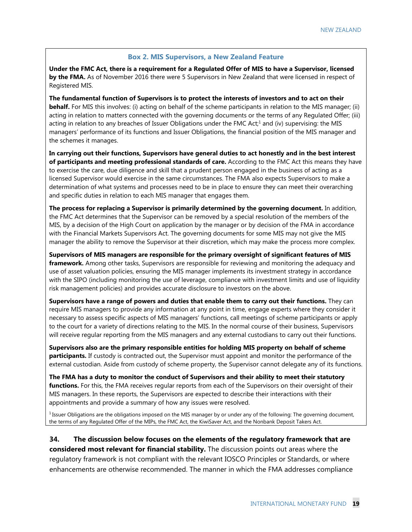#### **Box 2. MIS Supervisors, a New Zealand Feature**

**Under the FMC Act, there is a requirement for a Regulated Offer of MIS to have a Supervisor, licensed by the FMA.** As of November 2016 there were 5 Supervisors in New Zealand that were licensed in respect of Registered MIS.

**The fundamental function of Supervisors is to protect the interests of investors and to act on their** 

**behalf.** For MIS this involves: (i) acting on behalf of the scheme participants in relation to the MIS manager; (ii) acting in relation to matters connected with the governing documents or the terms of any Regulated Offer; (iii) acting in relation to any breaches of Issuer Obligations under the FMC Act;<sup>1</sup> and (iv) supervising: the MIS managers' performance of its functions and Issuer Obligations, the financial position of the MIS manager and the schemes it manages.

**In carrying out their functions, Supervisors have general duties to act honestly and in the best interest of participants and meeting professional standards of care.** According to the FMC Act this means they have to exercise the care, due diligence and skill that a prudent person engaged in the business of acting as a licensed Supervisor would exercise in the same circumstances. The FMA also expects Supervisors to make a determination of what systems and processes need to be in place to ensure they can meet their overarching and specific duties in relation to each MIS manager that engages them.

**The process for replacing a Supervisor is primarily determined by the governing document.** In addition, the FMC Act determines that the Supervisor can be removed by a special resolution of the members of the MIS, by a decision of the High Court on application by the manager or by decision of the FMA in accordance with the Financial Markets Supervisors Act. The governing documents for some MIS may not give the MIS manager the ability to remove the Supervisor at their discretion, which may make the process more complex.

**Supervisors of MIS managers are responsible for the primary oversight of significant features of MIS framework.** Among other tasks, Supervisors are responsible for reviewing and monitoring the adequacy and use of asset valuation policies, ensuring the MIS manager implements its investment strategy in accordance with the SIPO (including monitoring the use of leverage, compliance with investment limits and use of liquidity risk management policies) and provides accurate disclosure to investors on the above.

**Supervisors have a range of powers and duties that enable them to carry out their functions.** They can require MIS managers to provide any information at any point in time, engage experts where they consider it necessary to assess specific aspects of MIS managers' functions, call meetings of scheme participants or apply to the court for a variety of directions relating to the MIS. In the normal course of their business, Supervisors will receive regular reporting from the MIS managers and any external custodians to carry out their functions.

**Supervisors also are the primary responsible entities for holding MIS property on behalf of scheme participants.** If custody is contracted out, the Supervisor must appoint and monitor the performance of the external custodian. Aside from custody of scheme property, the Supervisor cannot delegate any of its functions.

**The FMA has a duty to monitor the conduct of Supervisors and their ability to meet their statutory functions.** For this, the FMA receives regular reports from each of the Supervisors on their oversight of their MIS managers. In these reports, the Supervisors are expected to describe their interactions with their appointments and provide a summary of how any issues were resolved.

<sup>1</sup> Issuer Obligations are the obligations imposed on the MIS manager by or under any of the following: The governing document, the terms of any Regulated Offer of the MIPs, the FMC Act, the KiwiSaver Act, and the Nonbank Deposit Takers Act.

**34. The discussion below focuses on the elements of the regulatory framework that are considered most relevant for financial stability.** The discussion points out areas where the regulatory framework is not compliant with the relevant IOSCO Principles or Standards, or where enhancements are otherwise recommended. The manner in which the FMA addresses compliance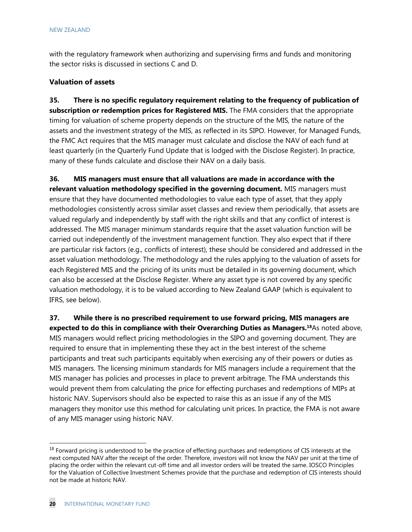with the regulatory framework when authorizing and supervising firms and funds and monitoring the sector risks is discussed in sections C and D.

## **Valuation of assets**

**35. There is no specific regulatory requirement relating to the frequency of publication of subscription or redemption prices for Registered MIS.** The FMA considers that the appropriate timing for valuation of scheme property depends on the structure of the MIS, the nature of the assets and the investment strategy of the MIS, as reflected in its SIPO. However, for Managed Funds, the FMC Act requires that the MIS manager must calculate and disclose the NAV of each fund at least quarterly (in the Quarterly Fund Update that is lodged with the Disclose Register). In practice, many of these funds calculate and disclose their NAV on a daily basis.

**36. MIS managers must ensure that all valuations are made in accordance with the relevant valuation methodology specified in the governing document.** MIS managers must ensure that they have documented methodologies to value each type of asset, that they apply methodologies consistently across similar asset classes and review them periodically, that assets are valued regularly and independently by staff with the right skills and that any conflict of interest is addressed. The MIS manager minimum standards require that the asset valuation function will be carried out independently of the investment management function. They also expect that if there are particular risk factors (e.g., conflicts of interest), these should be considered and addressed in the asset valuation methodology. The methodology and the rules applying to the valuation of assets for each Registered MIS and the pricing of its units must be detailed in its governing document, which can also be accessed at the Disclose Register. Where any asset type is not covered by any specific valuation methodology, it is to be valued according to New Zealand GAAP (which is equivalent to IFRS, see below).

**37. While there is no prescribed requirement to use forward pricing, MIS managers are expected to do this in compliance with their Overarching Duties as Managers.18**As noted above, MIS managers would reflect pricing methodologies in the SIPO and governing document. They are required to ensure that in implementing these they act in the best interest of the scheme participants and treat such participants equitably when exercising any of their powers or duties as MIS managers. The licensing minimum standards for MIS managers include a requirement that the MIS manager has policies and processes in place to prevent arbitrage. The FMA understands this would prevent them from calculating the price for effecting purchases and redemptions of MIPs at historic NAV. Supervisors should also be expected to raise this as an issue if any of the MIS managers they monitor use this method for calculating unit prices. In practice, the FMA is not aware of any MIS manager using historic NAV.

<sup>&</sup>lt;sup>18</sup> Forward pricing is understood to be the practice of effecting purchases and redemptions of CIS interests at the next computed NAV after the receipt of the order. Therefore, investors will not know the NAV per unit at the time of placing the order within the relevant cut-off time and all investor orders will be treated the same. IOSCO Principles for the Valuation of Collective Investment Schemes provide that the purchase and redemption of CIS interests should not be made at historic NAV.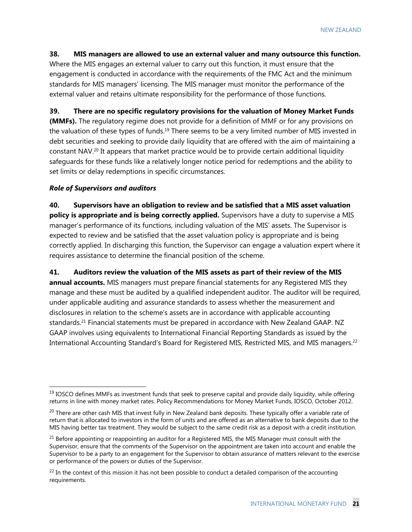#### **38. MIS managers are allowed to use an external valuer and many outsource this function.**

Where the MIS engages an external valuer to carry out this function, it must ensure that the engagement is conducted in accordance with the requirements of the FMC Act and the minimum standards for MIS managers' licensing. The MIS manager must monitor the performance of the external valuer and retains ultimate responsibility for the performance of those functions.

**39. There are no specific regulatory provisions for the valuation of Money Market Funds** 

**(MMFs).** The regulatory regime does not provide for a definition of MMF or for any provisions on the valuation of these types of funds.<sup>19</sup> There seems to be a very limited number of MIS invested in debt securities and seeking to provide daily liquidity that are offered with the aim of maintaining a constant NAV.<sup>20</sup> It appears that market practice would be to provide certain additional liquidity safeguards for these funds like a relatively longer notice period for redemptions and the ability to set limits or delay redemptions in specific circumstances.

#### *Role of Supervisors and auditors*

-

**40. Supervisors have an obligation to review and be satisfied that a MIS asset valuation policy is appropriate and is being correctly applied.** Supervisors have a duty to supervise a MIS manager's performance of its functions, including valuation of the MIS' assets. The Supervisor is expected to review and be satisfied that the asset valuation policy is appropriate and is being correctly applied. In discharging this function, the Supervisor can engage a valuation expert where it requires assistance to determine the financial position of the scheme.

**41. Auditors review the valuation of the MIS assets as part of their review of the MIS annual accounts.** MIS managers must prepare financial statements for any Registered MIS they manage and these must be audited by a qualified independent auditor. The auditor will be required, under applicable auditing and assurance standards to assess whether the measurement and disclosures in relation to the scheme's assets are in accordance with applicable accounting standards.<sup>21</sup> Financial statements must be prepared in accordance with New Zealand GAAP. NZ GAAP involves using equivalents to International Financial Reporting Standards as issued by the International Accounting Standard's Board for Registered MIS, Restricted MIS, and MIS managers.22

 $19$  IOSCO defines MMFs as investment funds that seek to preserve capital and provide daily liquidity, while offering returns in line with money market rates. Policy Recommendations for Money Market Funds, IOSCO, October 2012.

 $^{20}$  There are other cash MIS that invest fully in New Zealand bank deposits. These typically offer a variable rate of return that is allocated to investors in the form of units and are offered as an alternative to bank deposits due to the MIS having better tax treatment. They would be subject to the same credit risk as a deposit with a credit institution.

 $21$  Before appointing or reappointing an auditor for a Registered MIS, the MIS Manager must consult with the Supervisor, ensure that the comments of the Supervisor on the appointment are taken into account and enable the Supervisor to be a party to an engagement for the Supervisor to obtain assurance of matters relevant to the exercise or performance of the powers or duties of the Supervisor.

 $^{22}$  In the context of this mission it has not been possible to conduct a detailed comparison of the accounting requirements.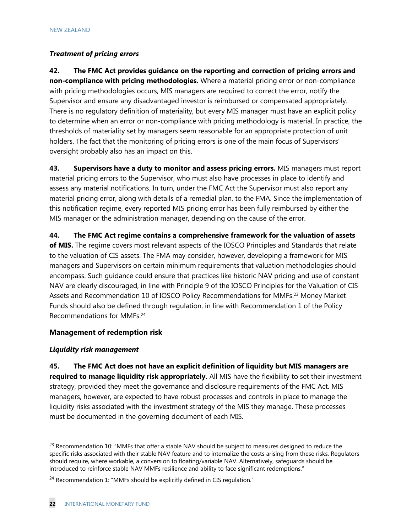# *Treatment of pricing errors*

**42. The FMC Act provides guidance on the reporting and correction of pricing errors and non-compliance with pricing methodologies.** Where a material pricing error or non-compliance with pricing methodologies occurs, MIS managers are required to correct the error, notify the Supervisor and ensure any disadvantaged investor is reimbursed or compensated appropriately. There is no regulatory definition of materiality, but every MIS manager must have an explicit policy to determine when an error or non-compliance with pricing methodology is material. In practice, the thresholds of materiality set by managers seem reasonable for an appropriate protection of unit holders. The fact that the monitoring of pricing errors is one of the main focus of Supervisors' oversight probably also has an impact on this.

**43. Supervisors have a duty to monitor and assess pricing errors.** MIS managers must report material pricing errors to the Supervisor, who must also have processes in place to identify and assess any material notifications. In turn, under the FMC Act the Supervisor must also report any material pricing error, along with details of a remedial plan, to the FMA. Since the implementation of this notification regime, every reported MIS pricing error has been fully reimbursed by either the MIS manager or the administration manager, depending on the cause of the error.

**44. The FMC Act regime contains a comprehensive framework for the valuation of assets of MIS.** The regime covers most relevant aspects of the IOSCO Principles and Standards that relate to the valuation of CIS assets. The FMA may consider, however, developing a framework for MIS managers and Supervisors on certain minimum requirements that valuation methodologies should encompass. Such guidance could ensure that practices like historic NAV pricing and use of constant NAV are clearly discouraged, in line with Principle 9 of the IOSCO Principles for the Valuation of CIS Assets and Recommendation 10 of IOSCO Policy Recommendations for MMFs.<sup>23</sup> Money Market Funds should also be defined through regulation, in line with Recommendation 1 of the Policy Recommendations for MMFs.24

# **Management of redemption risk**

# *Liquidity risk management*

-

**45. The FMC Act does not have an explicit definition of liquidity but MIS managers are required to manage liquidity risk appropriately.** All MIS have the flexibility to set their investment strategy, provided they meet the governance and disclosure requirements of the FMC Act. MIS managers, however, are expected to have robust processes and controls in place to manage the liquidity risks associated with the investment strategy of the MIS they manage. These processes must be documented in the governing document of each MIS.

<sup>&</sup>lt;sup>23</sup> Recommendation 10: "MMFs that offer a stable NAV should be subject to measures designed to reduce the specific risks associated with their stable NAV feature and to internalize the costs arising from these risks. Regulators should require, where workable, a conversion to floating/variable NAV. Alternatively, safeguards should be introduced to reinforce stable NAV MMFs resilience and ability to face significant redemptions."

<sup>&</sup>lt;sup>24</sup> Recommendation 1: "MMFs should be explicitly defined in CIS regulation."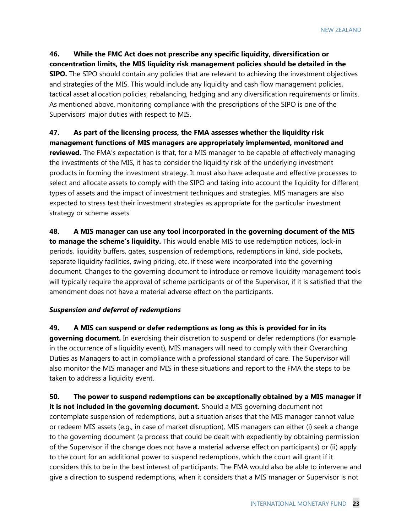**46. While the FMC Act does not prescribe any specific liquidity, diversification or concentration limits, the MIS liquidity risk management policies should be detailed in the SIPO.** The SIPO should contain any policies that are relevant to achieving the investment objectives and strategies of the MIS. This would include any liquidity and cash flow management policies, tactical asset allocation policies, rebalancing, hedging and any diversification requirements or limits. As mentioned above, monitoring compliance with the prescriptions of the SIPO is one of the Supervisors' major duties with respect to MIS.

# **47. As part of the licensing process, the FMA assesses whether the liquidity risk management functions of MIS managers are appropriately implemented, monitored and**

**reviewed.** The FMA's expectation is that, for a MIS manager to be capable of effectively managing the investments of the MIS, it has to consider the liquidity risk of the underlying investment products in forming the investment strategy. It must also have adequate and effective processes to select and allocate assets to comply with the SIPO and taking into account the liquidity for different types of assets and the impact of investment techniques and strategies. MIS managers are also expected to stress test their investment strategies as appropriate for the particular investment strategy or scheme assets.

**48. A MIS manager can use any tool incorporated in the governing document of the MIS to manage the scheme's liquidity.** This would enable MIS to use redemption notices, lock-in periods, liquidity buffers, gates, suspension of redemptions, redemptions in kind, side pockets, separate liquidity facilities, swing pricing, etc. if these were incorporated into the governing document. Changes to the governing document to introduce or remove liquidity management tools will typically require the approval of scheme participants or of the Supervisor, if it is satisfied that the amendment does not have a material adverse effect on the participants.

## *Suspension and deferral of redemptions*

**49. A MIS can suspend or defer redemptions as long as this is provided for in its governing document.** In exercising their discretion to suspend or defer redemptions (for example in the occurrence of a liquidity event), MIS managers will need to comply with their Overarching Duties as Managers to act in compliance with a professional standard of care. The Supervisor will also monitor the MIS manager and MIS in these situations and report to the FMA the steps to be taken to address a liquidity event.

**50. The power to suspend redemptions can be exceptionally obtained by a MIS manager if it is not included in the governing document.** Should a MIS governing document not contemplate suspension of redemptions, but a situation arises that the MIS manager cannot value or redeem MIS assets (e.g., in case of market disruption), MIS managers can either (i) seek a change to the governing document (a process that could be dealt with expediently by obtaining permission of the Supervisor if the change does not have a material adverse effect on participants) or (ii) apply to the court for an additional power to suspend redemptions, which the court will grant if it considers this to be in the best interest of participants. The FMA would also be able to intervene and give a direction to suspend redemptions, when it considers that a MIS manager or Supervisor is not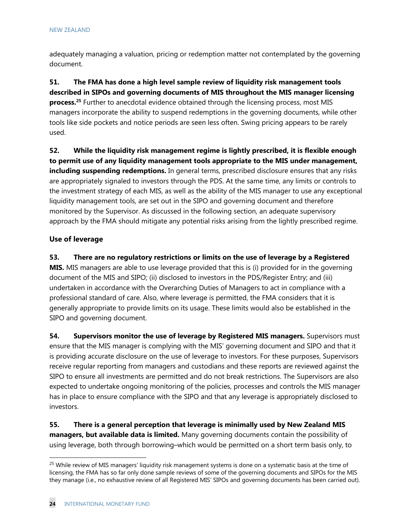adequately managing a valuation, pricing or redemption matter not contemplated by the governing document.

**51. The FMA has done a high level sample review of liquidity risk management tools described in SIPOs and governing documents of MIS throughout the MIS manager licensing process.25** Further to anecdotal evidence obtained through the licensing process, most MIS managers incorporate the ability to suspend redemptions in the governing documents, while other tools like side pockets and notice periods are seen less often. Swing pricing appears to be rarely used.

**52. While the liquidity risk management regime is lightly prescribed, it is flexible enough to permit use of any liquidity management tools appropriate to the MIS under management, including suspending redemptions.** In general terms, prescribed disclosure ensures that any risks are appropriately signaled to investors through the PDS. At the same time, any limits or controls to the investment strategy of each MIS, as well as the ability of the MIS manager to use any exceptional liquidity management tools, are set out in the SIPO and governing document and therefore monitored by the Supervisor. As discussed in the following section, an adequate supervisory approach by the FMA should mitigate any potential risks arising from the lightly prescribed regime.

## **Use of leverage**

**53. There are no regulatory restrictions or limits on the use of leverage by a Registered** 

**MIS.** MIS managers are able to use leverage provided that this is (i) provided for in the governing document of the MIS and SIPO; (ii) disclosed to investors in the PDS/Register Entry; and (iii) undertaken in accordance with the Overarching Duties of Managers to act in compliance with a professional standard of care. Also, where leverage is permitted, the FMA considers that it is generally appropriate to provide limits on its usage. These limits would also be established in the SIPO and governing document.

**54. Supervisors monitor the use of leverage by Registered MIS managers.** Supervisors must ensure that the MIS manager is complying with the MIS' governing document and SIPO and that it is providing accurate disclosure on the use of leverage to investors. For these purposes, Supervisors receive regular reporting from managers and custodians and these reports are reviewed against the SIPO to ensure all investments are permitted and do not break restrictions. The Supervisors are also expected to undertake ongoing monitoring of the policies, processes and controls the MIS manager has in place to ensure compliance with the SIPO and that any leverage is appropriately disclosed to investors.

**55. There is a general perception that leverage is minimally used by New Zealand MIS managers, but available data is limited.** Many governing documents contain the possibility of using leverage, both through borrowing–which would be permitted on a short term basis only, to

<sup>&</sup>lt;sup>25</sup> While review of MIS managers' liquidity risk management systems is done on a systematic basis at the time of licensing, the FMA has so far only done sample reviews of some of the governing documents and SIPOs for the MIS they manage (i.e., no exhaustive review of all Registered MIS' SIPOs and governing documents has been carried out).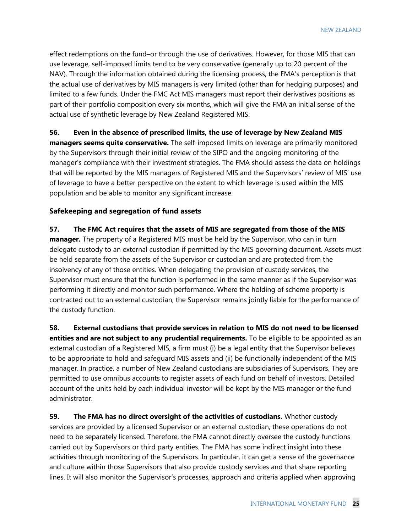effect redemptions on the fund–or through the use of derivatives. However, for those MIS that can use leverage, self-imposed limits tend to be very conservative (generally up to 20 percent of the NAV). Through the information obtained during the licensing process, the FMA's perception is that the actual use of derivatives by MIS managers is very limited (other than for hedging purposes) and limited to a few funds. Under the FMC Act MIS managers must report their derivatives positions as part of their portfolio composition every six months, which will give the FMA an initial sense of the actual use of synthetic leverage by New Zealand Registered MIS.

## **56. Even in the absence of prescribed limits, the use of leverage by New Zealand MIS**

**managers seems quite conservative.** The self-imposed limits on leverage are primarily monitored by the Supervisors through their initial review of the SIPO and the ongoing monitoring of the manager's compliance with their investment strategies. The FMA should assess the data on holdings that will be reported by the MIS managers of Registered MIS and the Supervisors' review of MIS' use of leverage to have a better perspective on the extent to which leverage is used within the MIS population and be able to monitor any significant increase.

# **Safekeeping and segregation of fund assets**

## **57. The FMC Act requires that the assets of MIS are segregated from those of the MIS**

**manager.** The property of a Registered MIS must be held by the Supervisor, who can in turn delegate custody to an external custodian if permitted by the MIS governing document. Assets must be held separate from the assets of the Supervisor or custodian and are protected from the insolvency of any of those entities. When delegating the provision of custody services, the Supervisor must ensure that the function is performed in the same manner as if the Supervisor was performing it directly and monitor such performance. Where the holding of scheme property is contracted out to an external custodian, the Supervisor remains jointly liable for the performance of the custody function.

**58. External custodians that provide services in relation to MIS do not need to be licensed entities and are not subject to any prudential requirements.** To be eligible to be appointed as an external custodian of a Registered MIS, a firm must (i) be a legal entity that the Supervisor believes to be appropriate to hold and safeguard MIS assets and (ii) be functionally independent of the MIS manager. In practice, a number of New Zealand custodians are subsidiaries of Supervisors. They are permitted to use omnibus accounts to register assets of each fund on behalf of investors. Detailed account of the units held by each individual investor will be kept by the MIS manager or the fund administrator.

**59. The FMA has no direct oversight of the activities of custodians.** Whether custody services are provided by a licensed Supervisor or an external custodian, these operations do not need to be separately licensed. Therefore, the FMA cannot directly oversee the custody functions carried out by Supervisors or third party entities. The FMA has some indirect insight into these activities through monitoring of the Supervisors. In particular, it can get a sense of the governance and culture within those Supervisors that also provide custody services and that share reporting lines. It will also monitor the Supervisor's processes, approach and criteria applied when approving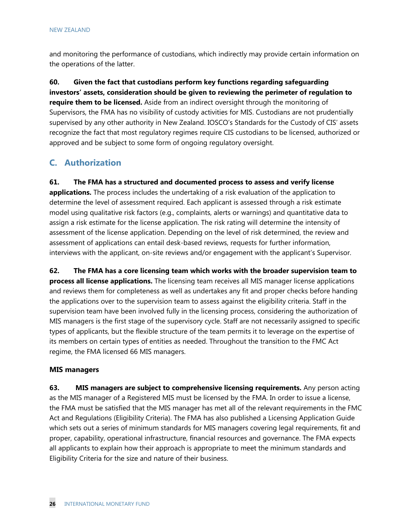and monitoring the performance of custodians, which indirectly may provide certain information on the operations of the latter.

**60. Given the fact that custodians perform key functions regarding safeguarding investors' assets, consideration should be given to reviewing the perimeter of regulation to require them to be licensed.** Aside from an indirect oversight through the monitoring of Supervisors, the FMA has no visibility of custody activities for MIS. Custodians are not prudentially supervised by any other authority in New Zealand. IOSCO's Standards for the Custody of CIS' assets recognize the fact that most regulatory regimes require CIS custodians to be licensed, authorized or approved and be subject to some form of ongoing regulatory oversight.

# **C. Authorization**

**61. The FMA has a structured and documented process to assess and verify license** 

**applications.** The process includes the undertaking of a risk evaluation of the application to determine the level of assessment required. Each applicant is assessed through a risk estimate model using qualitative risk factors (e.g., complaints, alerts or warnings) and quantitative data to assign a risk estimate for the license application. The risk rating will determine the intensity of assessment of the license application. Depending on the level of risk determined, the review and assessment of applications can entail desk-based reviews, requests for further information, interviews with the applicant, on-site reviews and/or engagement with the applicant's Supervisor.

**62. The FMA has a core licensing team which works with the broader supervision team to process all license applications.** The licensing team receives all MIS manager license applications and reviews them for completeness as well as undertakes any fit and proper checks before handing the applications over to the supervision team to assess against the eligibility criteria. Staff in the supervision team have been involved fully in the licensing process, considering the authorization of MIS managers is the first stage of the supervisory cycle. Staff are not necessarily assigned to specific types of applicants, but the flexible structure of the team permits it to leverage on the expertise of its members on certain types of entities as needed. Throughout the transition to the FMC Act regime, the FMA licensed 66 MIS managers.

# **MIS managers**

**63. MIS managers are subject to comprehensive licensing requirements.** Any person acting as the MIS manager of a Registered MIS must be licensed by the FMA. In order to issue a license, the FMA must be satisfied that the MIS manager has met all of the relevant requirements in the FMC Act and Regulations (Eligibility Criteria). The FMA has also published a Licensing Application Guide which sets out a series of minimum standards for MIS managers covering legal requirements, fit and proper, capability, operational infrastructure, financial resources and governance. The FMA expects all applicants to explain how their approach is appropriate to meet the minimum standards and Eligibility Criteria for the size and nature of their business.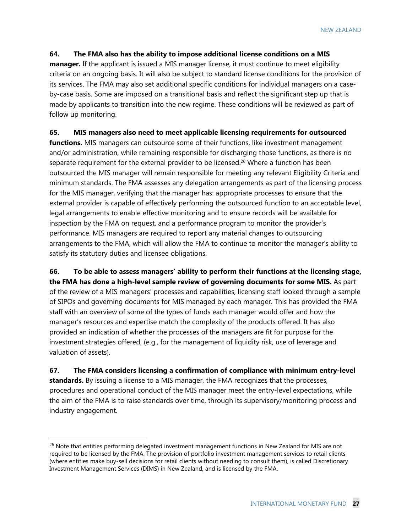#### **64. The FMA also has the ability to impose additional license conditions on a MIS**

**manager.** If the applicant is issued a MIS manager license, it must continue to meet eligibility criteria on an ongoing basis. It will also be subject to standard license conditions for the provision of its services. The FMA may also set additional specific conditions for individual managers on a caseby-case basis. Some are imposed on a transitional basis and reflect the significant step up that is made by applicants to transition into the new regime. These conditions will be reviewed as part of follow up monitoring.

#### **65. MIS managers also need to meet applicable licensing requirements for outsourced**

**functions.** MIS managers can outsource some of their functions, like investment management and/or administration, while remaining responsible for discharging those functions, as there is no separate requirement for the external provider to be licensed.<sup>26</sup> Where a function has been outsourced the MIS manager will remain responsible for meeting any relevant Eligibility Criteria and minimum standards. The FMA assesses any delegation arrangements as part of the licensing process for the MIS manager, verifying that the manager has: appropriate processes to ensure that the external provider is capable of effectively performing the outsourced function to an acceptable level, legal arrangements to enable effective monitoring and to ensure records will be available for inspection by the FMA on request, and a performance program to monitor the provider's performance. MIS managers are required to report any material changes to outsourcing arrangements to the FMA, which will allow the FMA to continue to monitor the manager's ability to satisfy its statutory duties and licensee obligations.

**66. To be able to assess managers' ability to perform their functions at the licensing stage, the FMA has done a high-level sample review of governing documents for some MIS.** As part of the review of a MIS managers' processes and capabilities, licensing staff looked through a sample of SIPOs and governing documents for MIS managed by each manager. This has provided the FMA staff with an overview of some of the types of funds each manager would offer and how the manager's resources and expertise match the complexity of the products offered. It has also provided an indication of whether the processes of the managers are fit for purpose for the investment strategies offered, (e.g., for the management of liquidity risk, use of leverage and valuation of assets).

**67. The FMA considers licensing a confirmation of compliance with minimum entry-level standards.** By issuing a license to a MIS manager, the FMA recognizes that the processes, procedures and operational conduct of the MIS manager meet the entry-level expectations, while the aim of the FMA is to raise standards over time, through its supervisory/monitoring process and industry engagement.

<sup>&</sup>lt;sup>26</sup> Note that entities performing delegated investment management functions in New Zealand for MIS are not required to be licensed by the FMA. The provision of portfolio investment management services to retail clients (where entities make buy-sell decisions for retail clients without needing to consult them), is called Discretionary Investment Management Services (DIMS) in New Zealand, and is licensed by the FMA.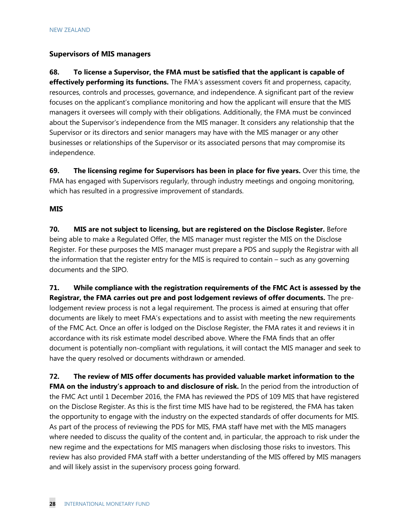# **Supervisors of MIS managers**

**68. To license a Supervisor, the FMA must be satisfied that the applicant is capable of effectively performing its functions.** The FMA's assessment covers fit and properness, capacity, resources, controls and processes, governance, and independence. A significant part of the review focuses on the applicant's compliance monitoring and how the applicant will ensure that the MIS managers it oversees will comply with their obligations. Additionally, the FMA must be convinced about the Supervisor's independence from the MIS manager. It considers any relationship that the Supervisor or its directors and senior managers may have with the MIS manager or any other businesses or relationships of the Supervisor or its associated persons that may compromise its independence.

**69. The licensing regime for Supervisors has been in place for five years.** Over this time, the FMA has engaged with Supervisors regularly, through industry meetings and ongoing monitoring, which has resulted in a progressive improvement of standards.

# **MIS**

**70. MIS are not subject to licensing, but are registered on the Disclose Register.** Before being able to make a Regulated Offer, the MIS manager must register the MIS on the Disclose Register. For these purposes the MIS manager must prepare a PDS and supply the Registrar with all the information that the register entry for the MIS is required to contain – such as any governing documents and the SIPO.

**71. While compliance with the registration requirements of the FMC Act is assessed by the Registrar, the FMA carries out pre and post lodgement reviews of offer documents.** The prelodgement review process is not a legal requirement. The process is aimed at ensuring that offer documents are likely to meet FMA's expectations and to assist with meeting the new requirements of the FMC Act. Once an offer is lodged on the Disclose Register, the FMA rates it and reviews it in accordance with its risk estimate model described above. Where the FMA finds that an offer document is potentially non-compliant with regulations, it will contact the MIS manager and seek to have the query resolved or documents withdrawn or amended.

**72. The review of MIS offer documents has provided valuable market information to the FMA on the industry's approach to and disclosure of risk.** In the period from the introduction of the FMC Act until 1 December 2016, the FMA has reviewed the PDS of 109 MIS that have registered on the Disclose Register. As this is the first time MIS have had to be registered, the FMA has taken the opportunity to engage with the industry on the expected standards of offer documents for MIS. As part of the process of reviewing the PDS for MIS, FMA staff have met with the MIS managers where needed to discuss the quality of the content and, in particular, the approach to risk under the new regime and the expectations for MIS managers when disclosing those risks to investors. This review has also provided FMA staff with a better understanding of the MIS offered by MIS managers and will likely assist in the supervisory process going forward.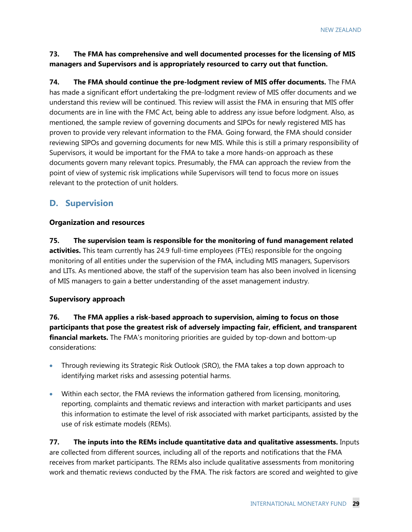**73. The FMA has comprehensive and well documented processes for the licensing of MIS managers and Supervisors and is appropriately resourced to carry out that function.**

**74. The FMA should continue the pre-lodgment review of MIS offer documents.** The FMA has made a significant effort undertaking the pre-lodgment review of MIS offer documents and we understand this review will be continued. This review will assist the FMA in ensuring that MIS offer documents are in line with the FMC Act, being able to address any issue before lodgment. Also, as mentioned, the sample review of governing documents and SIPOs for newly registered MIS has proven to provide very relevant information to the FMA. Going forward, the FMA should consider reviewing SIPOs and governing documents for new MIS. While this is still a primary responsibility of Supervisors, it would be important for the FMA to take a more hands-on approach as these documents govern many relevant topics. Presumably, the FMA can approach the review from the point of view of systemic risk implications while Supervisors will tend to focus more on issues relevant to the protection of unit holders.

# **D. Supervision**

#### **Organization and resources**

**75. The supervision team is responsible for the monitoring of fund management related activities.** This team currently has 24.9 full-time employees (FTEs) responsible for the ongoing monitoring of all entities under the supervision of the FMA, including MIS managers, Supervisors and LITs. As mentioned above, the staff of the supervision team has also been involved in licensing of MIS managers to gain a better understanding of the asset management industry.

## **Supervisory approach**

**76. The FMA applies a risk-based approach to supervision, aiming to focus on those participants that pose the greatest risk of adversely impacting fair, efficient, and transparent financial markets.** The FMA's monitoring priorities are guided by top-down and bottom-up considerations:

- Through reviewing its Strategic Risk Outlook (SRO), the FMA takes a top down approach to identifying market risks and assessing potential harms.
- Within each sector, the FMA reviews the information gathered from licensing, monitoring, reporting, complaints and thematic reviews and interaction with market participants and uses this information to estimate the level of risk associated with market participants, assisted by the use of risk estimate models (REMs).

**77. The inputs into the REMs include quantitative data and qualitative assessments.** Inputs are collected from different sources, including all of the reports and notifications that the FMA receives from market participants. The REMs also include qualitative assessments from monitoring work and thematic reviews conducted by the FMA. The risk factors are scored and weighted to give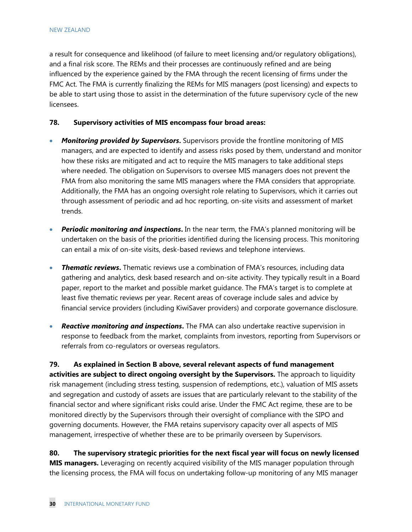a result for consequence and likelihood (of failure to meet licensing and/or regulatory obligations), and a final risk score. The REMs and their processes are continuously refined and are being influenced by the experience gained by the FMA through the recent licensing of firms under the FMC Act. The FMA is currently finalizing the REMs for MIS managers (post licensing) and expects to be able to start using those to assist in the determination of the future supervisory cycle of the new licensees.

#### **78. Supervisory activities of MIS encompass four broad areas:**

- *Monitoring provided by Supervisors***.** Supervisors provide the frontline monitoring of MIS managers, and are expected to identify and assess risks posed by them, understand and monitor how these risks are mitigated and act to require the MIS managers to take additional steps where needed. The obligation on Supervisors to oversee MIS managers does not prevent the FMA from also monitoring the same MIS managers where the FMA considers that appropriate. Additionally, the FMA has an ongoing oversight role relating to Supervisors, which it carries out through assessment of periodic and ad hoc reporting, on-site visits and assessment of market trends.
- *Periodic monitoring and inspections***.** In the near term, the FMA's planned monitoring will be undertaken on the basis of the priorities identified during the licensing process. This monitoring can entail a mix of on-site visits, desk-based reviews and telephone interviews.
- *Thematic reviews***.** Thematic reviews use a combination of FMA's resources, including data gathering and analytics, desk based research and on-site activity. They typically result in a Board paper, report to the market and possible market guidance. The FMA's target is to complete at least five thematic reviews per year. Recent areas of coverage include sales and advice by financial service providers (including KiwiSaver providers) and corporate governance disclosure.
- *Reactive monitoring and inspections***.** The FMA can also undertake reactive supervision in response to feedback from the market, complaints from investors, reporting from Supervisors or referrals from co-regulators or overseas regulators.

**79. As explained in Section B above, several relevant aspects of fund management activities are subject to direct ongoing oversight by the Supervisors.** The approach to liquidity risk management (including stress testing, suspension of redemptions, etc.), valuation of MIS assets and segregation and custody of assets are issues that are particularly relevant to the stability of the financial sector and where significant risks could arise. Under the FMC Act regime, these are to be monitored directly by the Supervisors through their oversight of compliance with the SIPO and governing documents. However, the FMA retains supervisory capacity over all aspects of MIS management, irrespective of whether these are to be primarily overseen by Supervisors.

**80. The supervisory strategic priorities for the next fiscal year will focus on newly licensed MIS managers.** Leveraging on recently acquired visibility of the MIS manager population through the licensing process, the FMA will focus on undertaking follow-up monitoring of any MIS manager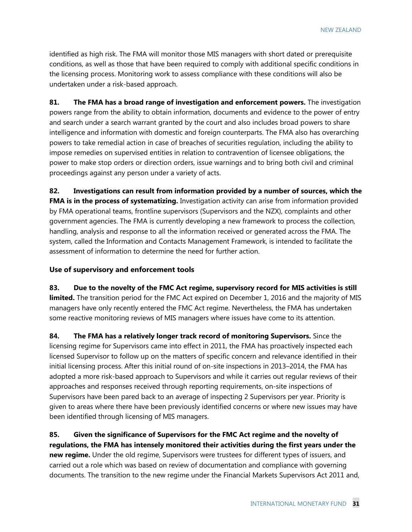identified as high risk. The FMA will monitor those MIS managers with short dated or prerequisite conditions, as well as those that have been required to comply with additional specific conditions in the licensing process. Monitoring work to assess compliance with these conditions will also be undertaken under a risk-based approach.

**81. The FMA has a broad range of investigation and enforcement powers.** The investigation powers range from the ability to obtain information, documents and evidence to the power of entry and search under a search warrant granted by the court and also includes broad powers to share intelligence and information with domestic and foreign counterparts. The FMA also has overarching powers to take remedial action in case of breaches of securities regulation, including the ability to impose remedies on supervised entities in relation to contravention of licensee obligations, the power to make stop orders or direction orders, issue warnings and to bring both civil and criminal proceedings against any person under a variety of acts.

**82. Investigations can result from information provided by a number of sources, which the FMA is in the process of systematizing.** Investigation activity can arise from information provided by FMA operational teams, frontline supervisors (Supervisors and the NZX), complaints and other government agencies. The FMA is currently developing a new framework to process the collection, handling, analysis and response to all the information received or generated across the FMA. The system, called the Information and Contacts Management Framework, is intended to facilitate the assessment of information to determine the need for further action.

#### **Use of supervisory and enforcement tools**

**83. Due to the novelty of the FMC Act regime, supervisory record for MIS activities is still limited.** The transition period for the FMC Act expired on December 1, 2016 and the majority of MIS managers have only recently entered the FMC Act regime. Nevertheless, the FMA has undertaken some reactive monitoring reviews of MIS managers where issues have come to its attention.

**84. The FMA has a relatively longer track record of monitoring Supervisors.** Since the licensing regime for Supervisors came into effect in 2011, the FMA has proactively inspected each licensed Supervisor to follow up on the matters of specific concern and relevance identified in their initial licensing process. After this initial round of on-site inspections in 2013–2014, the FMA has adopted a more risk-based approach to Supervisors and while it carries out regular reviews of their approaches and responses received through reporting requirements, on-site inspections of Supervisors have been pared back to an average of inspecting 2 Supervisors per year. Priority is given to areas where there have been previously identified concerns or where new issues may have been identified through licensing of MIS managers.

**85. Given the significance of Supervisors for the FMC Act regime and the novelty of regulations, the FMA has intensely monitored their activities during the first years under the new regime.** Under the old regime, Supervisors were trustees for different types of issuers, and carried out a role which was based on review of documentation and compliance with governing documents. The transition to the new regime under the Financial Markets Supervisors Act 2011 and,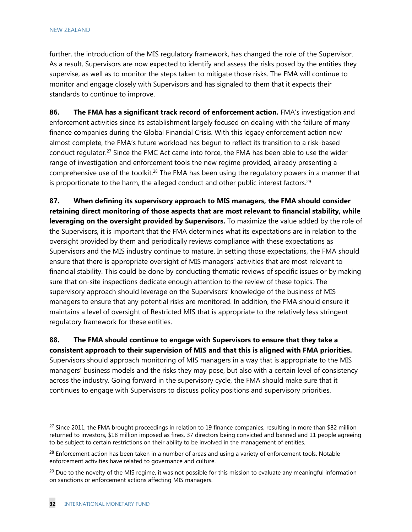#### NEW ZEALAND

further, the introduction of the MIS regulatory framework, has changed the role of the Supervisor. As a result, Supervisors are now expected to identify and assess the risks posed by the entities they supervise, as well as to monitor the steps taken to mitigate those risks. The FMA will continue to monitor and engage closely with Supervisors and has signaled to them that it expects their standards to continue to improve.

**86. The FMA has a significant track record of enforcement action.** FMA's investigation and enforcement activities since its establishment largely focused on dealing with the failure of many finance companies during the Global Financial Crisis. With this legacy enforcement action now almost complete, the FMA's future workload has begun to reflect its transition to a risk-based conduct regulator.<sup>27</sup> Since the FMC Act came into force, the FMA has been able to use the wider range of investigation and enforcement tools the new regime provided, already presenting a comprehensive use of the toolkit.<sup>28</sup> The FMA has been using the regulatory powers in a manner that is proportionate to the harm, the alleged conduct and other public interest factors. $29$ 

**87. When defining its supervisory approach to MIS managers, the FMA should consider retaining direct monitoring of those aspects that are most relevant to financial stability, while leveraging on the oversight provided by Supervisors.** To maximize the value added by the role of the Supervisors, it is important that the FMA determines what its expectations are in relation to the oversight provided by them and periodically reviews compliance with these expectations as Supervisors and the MIS industry continue to mature. In setting those expectations, the FMA should ensure that there is appropriate oversight of MIS managers' activities that are most relevant to financial stability. This could be done by conducting thematic reviews of specific issues or by making sure that on-site inspections dedicate enough attention to the review of these topics. The supervisory approach should leverage on the Supervisors' knowledge of the business of MIS managers to ensure that any potential risks are monitored. In addition, the FMA should ensure it maintains a level of oversight of Restricted MIS that is appropriate to the relatively less stringent regulatory framework for these entities.

# **88. The FMA should continue to engage with Supervisors to ensure that they take a consistent approach to their supervision of MIS and that this is aligned with FMA priorities.**

Supervisors should approach monitoring of MIS managers in a way that is appropriate to the MIS managers' business models and the risks they may pose, but also with a certain level of consistency across the industry. Going forward in the supervisory cycle, the FMA should make sure that it continues to engage with Supervisors to discuss policy positions and supervisory priorities.

 $27$  Since 2011, the FMA brought proceedings in relation to 19 finance companies, resulting in more than \$82 million returned to investors, \$18 million imposed as fines, 37 directors being convicted and banned and 11 people agreeing to be subject to certain restrictions on their ability to be involved in the management of entities.

<sup>&</sup>lt;sup>28</sup> Enforcement action has been taken in a number of areas and using a variety of enforcement tools. Notable enforcement activities have related to governance and culture.

 $29$  Due to the novelty of the MIS regime, it was not possible for this mission to evaluate any meaningful information on sanctions or enforcement actions affecting MIS managers.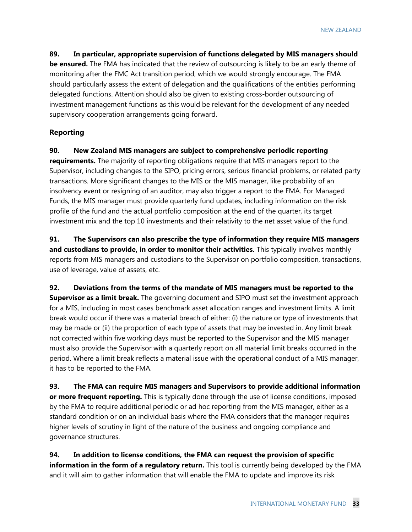**89. In particular, appropriate supervision of functions delegated by MIS managers should be ensured.** The FMA has indicated that the review of outsourcing is likely to be an early theme of monitoring after the FMC Act transition period, which we would strongly encourage. The FMA should particularly assess the extent of delegation and the qualifications of the entities performing delegated functions. Attention should also be given to existing cross-border outsourcing of investment management functions as this would be relevant for the development of any needed supervisory cooperation arrangements going forward.

# **Reporting**

**90. New Zealand MIS managers are subject to comprehensive periodic reporting** 

**requirements.** The majority of reporting obligations require that MIS managers report to the Supervisor, including changes to the SIPO, pricing errors, serious financial problems, or related party transactions. More significant changes to the MIS or the MIS manager, like probability of an insolvency event or resigning of an auditor, may also trigger a report to the FMA. For Managed Funds, the MIS manager must provide quarterly fund updates, including information on the risk profile of the fund and the actual portfolio composition at the end of the quarter, its target investment mix and the top 10 investments and their relativity to the net asset value of the fund.

**91. The Supervisors can also prescribe the type of information they require MIS managers and custodians to provide, in order to monitor their activities.** This typically involves monthly reports from MIS managers and custodians to the Supervisor on portfolio composition, transactions, use of leverage, value of assets, etc.

**92. Deviations from the terms of the mandate of MIS managers must be reported to the Supervisor as a limit break.** The governing document and SIPO must set the investment approach for a MIS, including in most cases benchmark asset allocation ranges and investment limits. A limit break would occur if there was a material breach of either: (i) the nature or type of investments that may be made or (ii) the proportion of each type of assets that may be invested in. Any limit break not corrected within five working days must be reported to the Supervisor and the MIS manager must also provide the Supervisor with a quarterly report on all material limit breaks occurred in the period. Where a limit break reflects a material issue with the operational conduct of a MIS manager, it has to be reported to the FMA.

**93. The FMA can require MIS managers and Supervisors to provide additional information or more frequent reporting.** This is typically done through the use of license conditions, imposed by the FMA to require additional periodic or ad hoc reporting from the MIS manager, either as a standard condition or on an individual basis where the FMA considers that the manager requires higher levels of scrutiny in light of the nature of the business and ongoing compliance and governance structures.

**94. In addition to license conditions, the FMA can request the provision of specific information in the form of a regulatory return.** This tool is currently being developed by the FMA and it will aim to gather information that will enable the FMA to update and improve its risk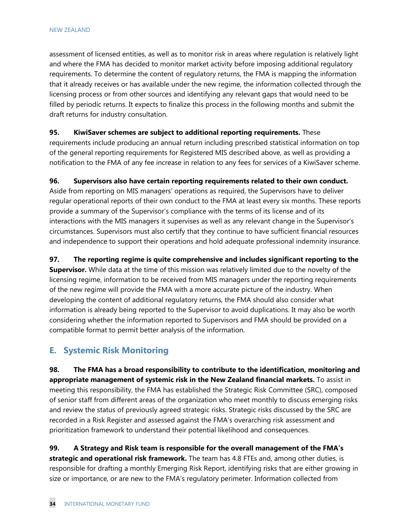assessment of licensed entities, as well as to monitor risk in areas where regulation is relatively light and where the FMA has decided to monitor market activity before imposing additional regulatory requirements. To determine the content of regulatory returns, the FMA is mapping the information that it already receives or has available under the new regime, the information collected through the licensing process or from other sources and identifying any relevant gaps that would need to be filled by periodic returns. It expects to finalize this process in the following months and submit the draft returns for industry consultation.

## **95. KiwiSaver schemes are subject to additional reporting requirements.** These

requirements include producing an annual return including prescribed statistical information on top of the general reporting requirements for Registered MIS described above, as well as providing a notification to the FMA of any fee increase in relation to any fees for services of a KiwiSaver scheme.

# **96. Supervisors also have certain reporting requirements related to their own conduct.**

Aside from reporting on MIS managers' operations as required, the Supervisors have to deliver regular operational reports of their own conduct to the FMA at least every six months. These reports provide a summary of the Supervisor's compliance with the terms of its license and of its interactions with the MIS managers it supervises as well as any relevant change in the Supervisor's circumstances. Supervisors must also certify that they continue to have sufficient financial resources and independence to support their operations and hold adequate professional indemnity insurance.

## **97. The reporting regime is quite comprehensive and includes significant reporting to the**

**Supervisor.** While data at the time of this mission was relatively limited due to the novelty of the licensing regime, information to be received from MIS managers under the reporting requirements of the new regime will provide the FMA with a more accurate picture of the industry. When developing the content of additional regulatory returns, the FMA should also consider what information is already being reported to the Supervisor to avoid duplications. It may also be worth considering whether the information reported to Supervisors and FMA should be provided on a compatible format to permit better analysis of the information.

# **E. Systemic Risk Monitoring**

**98. The FMA has a broad responsibility to contribute to the identification, monitoring and appropriate management of systemic risk in the New Zealand financial markets.** To assist in meeting this responsibility, the FMA has established the Strategic Risk Committee (SRC), composed of senior staff from different areas of the organization who meet monthly to discuss emerging risks and review the status of previously agreed strategic risks. Strategic risks discussed by the SRC are recorded in a Risk Register and assessed against the FMA's overarching risk assessment and prioritization framework to understand their potential likelihood and consequences.

**99. A Strategy and Risk team is responsible for the overall management of the FMA's strategic and operational risk framework.** The team has 4.8 FTEs and, among other duties, is responsible for drafting a monthly Emerging Risk Report, identifying risks that are either growing in size or importance, or are new to the FMA's regulatory perimeter. Information collected from